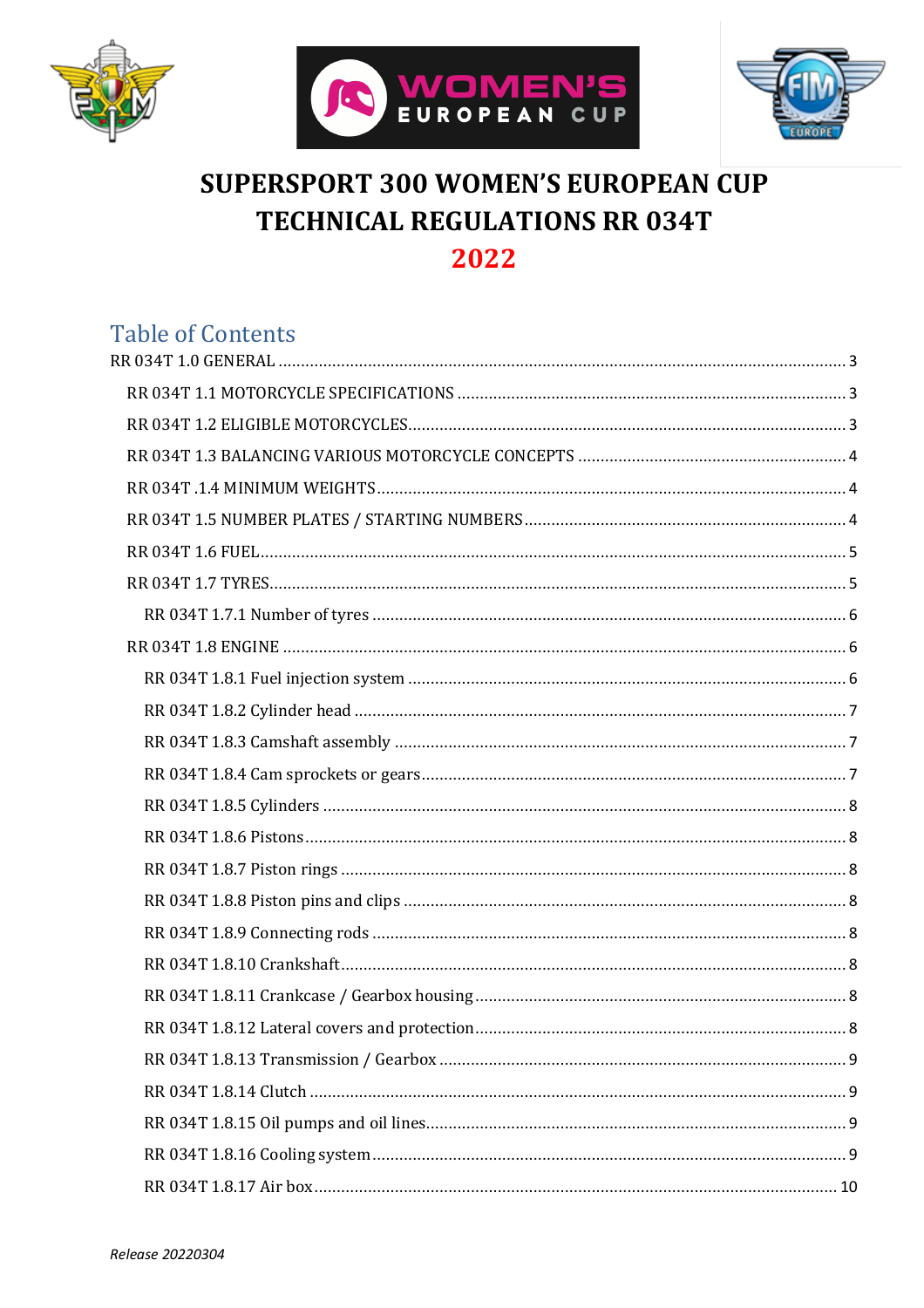





# **SUPERSPORT 300 WOMEN'S EUROPEAN CUP TECHNICAL REGULATIONS RR 034T** 2022

## **Table of Contents**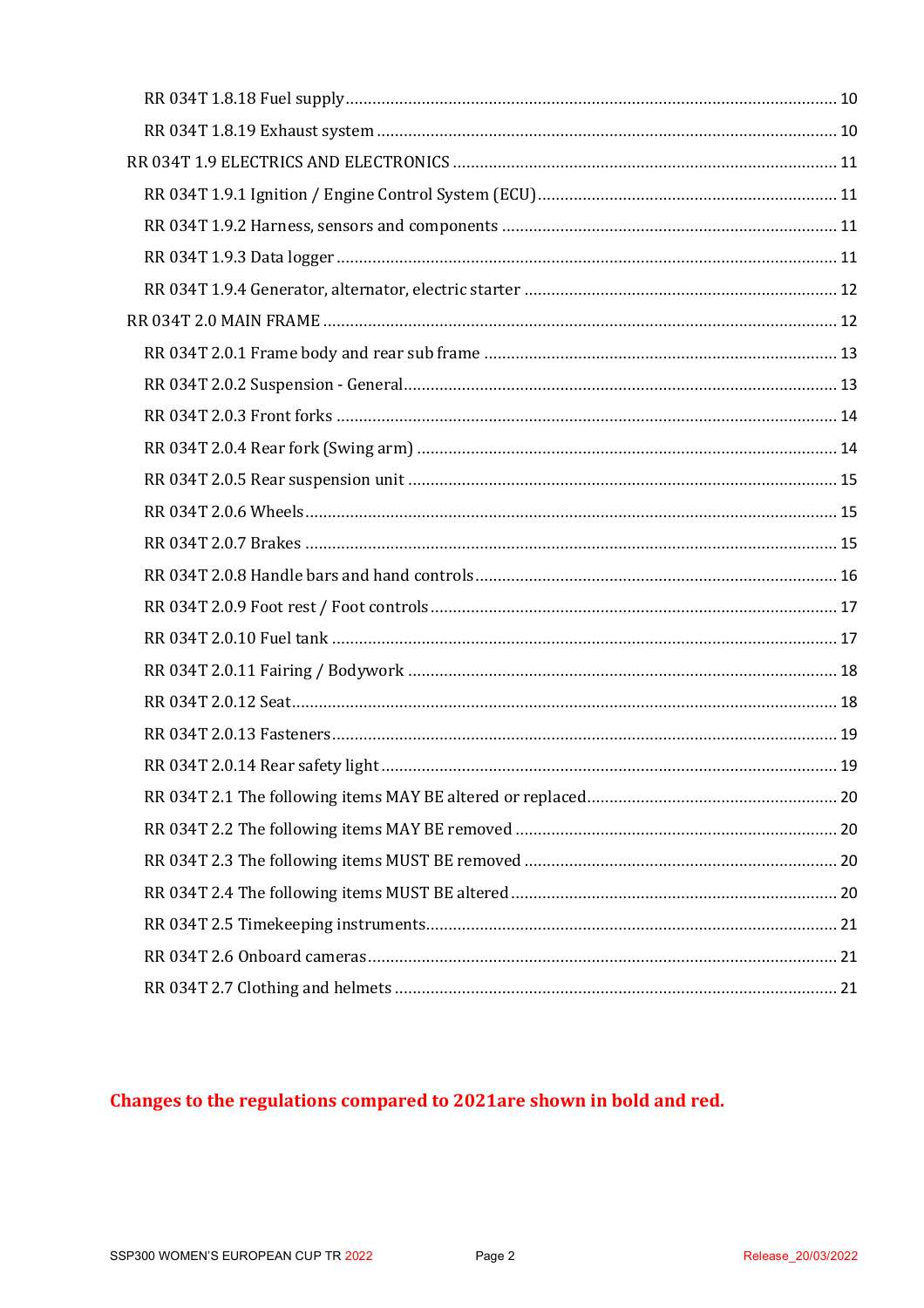## Changes to the regulations compared to 2021are shown in bold and red.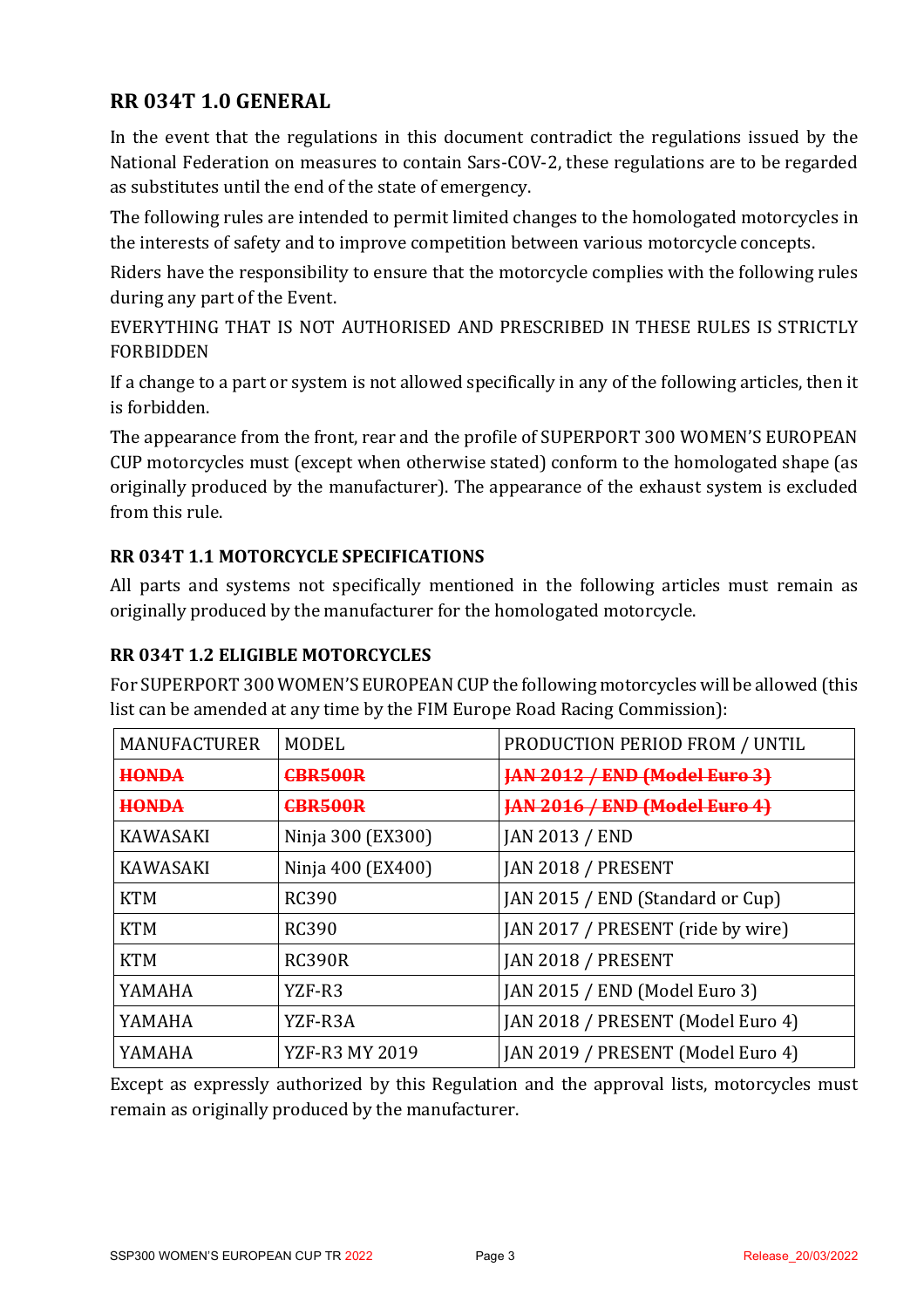## **RR 034T 1.0 GENERAL**

In the event that the regulations in this document contradict the regulations issued by the National Federation on measures to contain Sars-COV-2, these regulations are to be regarded as substitutes until the end of the state of emergency.

The following rules are intended to permit limited changes to the homologated motorcycles in the interests of safety and to improve competition between various motorcycle concepts.

Riders have the responsibility to ensure that the motorcycle complies with the following rules during any part of the Event.

EVERYTHING THAT IS NOT AUTHORISED AND PRESCRIBED IN THESE RULES IS STRICTLY FORBIDDEN

If a change to a part or system is not allowed specifically in any of the following articles, then it is forbidden.

The appearance from the front, rear and the profile of SUPERPORT 300 WOMEN'S EUROPEAN CUP motorcycles must (except when otherwise stated) conform to the homologated shape (as originally produced by the manufacturer). The appearance of the exhaust system is excluded from this rule

#### **RR 034T 1.1 MOTORCYCLE SPECIFICATIONS**

All parts and systems not specifically mentioned in the following articles must remain as originally produced by the manufacturer for the homologated motorcycle.

#### **RR 034T 1.2 ELIGIBLE MOTORCYCLES**

For SUPERPORT 300 WOMEN'S EUROPEAN CUP the following motorcycles will be allowed (this list can be amended at any time by the FIM Europe Road Racing Commission):

| <b>MANUFACTURER</b> | MODEL              | PRODUCTION PERIOD FROM / UNTIL       |
|---------------------|--------------------|--------------------------------------|
| <b>HONDA</b>        | <del>CBR500R</del> | <b>JAN 2012 / END (Model Euro 3)</b> |
| HONDA               | <del>CBR500R</del> | <b>JAN 2016 / END (Model Euro 4)</b> |
| <b>KAWASAKI</b>     | Ninja 300 (EX300)  | JAN 2013 / END                       |
| KAWASAKI            | Ninja 400 (EX400)  | JAN 2018 / PRESENT                   |
| <b>KTM</b>          | RC390              | JAN 2015 / END (Standard or Cup)     |
| <b>KTM</b>          | <b>RC390</b>       | JAN 2017 / PRESENT (ride by wire)    |
| <b>KTM</b>          | <b>RC390R</b>      | JAN 2018 / PRESENT                   |
| YAMAHA              | YZF-R3             | JAN 2015 / END (Model Euro 3)        |
| YAMAHA              | YZF-R3A            | JAN 2018 / PRESENT (Model Euro 4)    |
| YAMAHA              | YZF-R3 MY 2019     | JAN 2019 / PRESENT (Model Euro 4)    |

Except as expressly authorized by this Regulation and the approval lists, motorcycles must remain as originally produced by the manufacturer.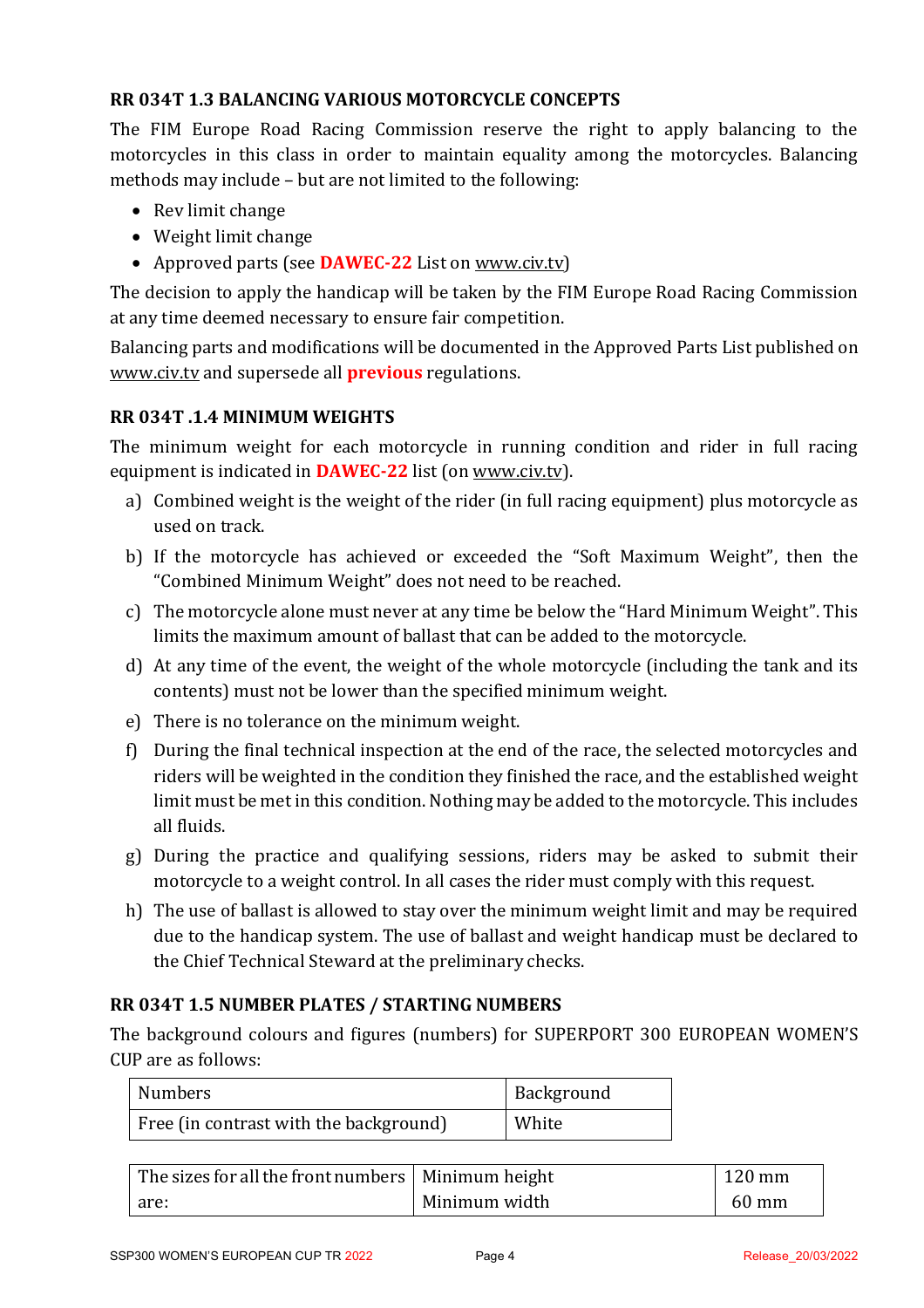#### **RR 034T 1.3 BALANCING VARIOUS MOTORCYCLE CONCEPTS**

The FIM Europe Road Racing Commission reserve the right to apply balancing to the motorcycles in this class in order to maintain equality among the motorcycles. Balancing methods may include - but are not limited to the following:

- Rev limit change
- Weight limit change
- Approved parts (see **DAWEC-22** List on www.civ.tv)

The decision to apply the handicap will be taken by the FIM Europe Road Racing Commission at any time deemed necessary to ensure fair competition.

Balancing parts and modifications will be documented in the Approved Parts List published on www.civ.tv and supersede all **previous** regulations.

#### **RR 034T .1.4 MINIMUM WEIGHTS**

The minimum weight for each motorcycle in running condition and rider in full racing equipment is indicated in **DAWEC-22** list (on www.civ.tv).

- a) Combined weight is the weight of the rider (in full racing equipment) plus motorcycle as used on track.
- b) If the motorcycle has achieved or exceeded the "Soft Maximum Weight", then the "Combined Minimum Weight" does not need to be reached.
- c) The motorcycle alone must never at any time be below the "Hard Minimum Weight". This limits the maximum amount of ballast that can be added to the motorcycle.
- d) At any time of the event, the weight of the whole motorcycle (including the tank and its contents) must not be lower than the specified minimum weight.
- e) There is no tolerance on the minimum weight.
- f) During the final technical inspection at the end of the race, the selected motorcycles and riders will be weighted in the condition they finished the race, and the established weight limit must be met in this condition. Nothing may be added to the motorcycle. This includes all fluids.
- g) During the practice and qualifying sessions, riders may be asked to submit their motorcycle to a weight control. In all cases the rider must comply with this request.
- h) The use of ballast is allowed to stay over the minimum weight limit and may be required due to the handicap system. The use of ballast and weight handicap must be declared to the Chief Technical Steward at the preliminary checks.

#### **RR 034T 1.5 NUMBER PLATES / STARTING NUMBERS**

The background colours and figures (numbers) for SUPERPORT 300 EUROPEAN WOMEN'S CUP are as follows:

| Numbers                                | Background |
|----------------------------------------|------------|
| Free (in contrast with the background) | White      |

| The sizes for all the front numbers   Minimum height |               | 120 mm          |
|------------------------------------------------------|---------------|-----------------|
| are:                                                 | Minimum width | $60 \text{ mm}$ |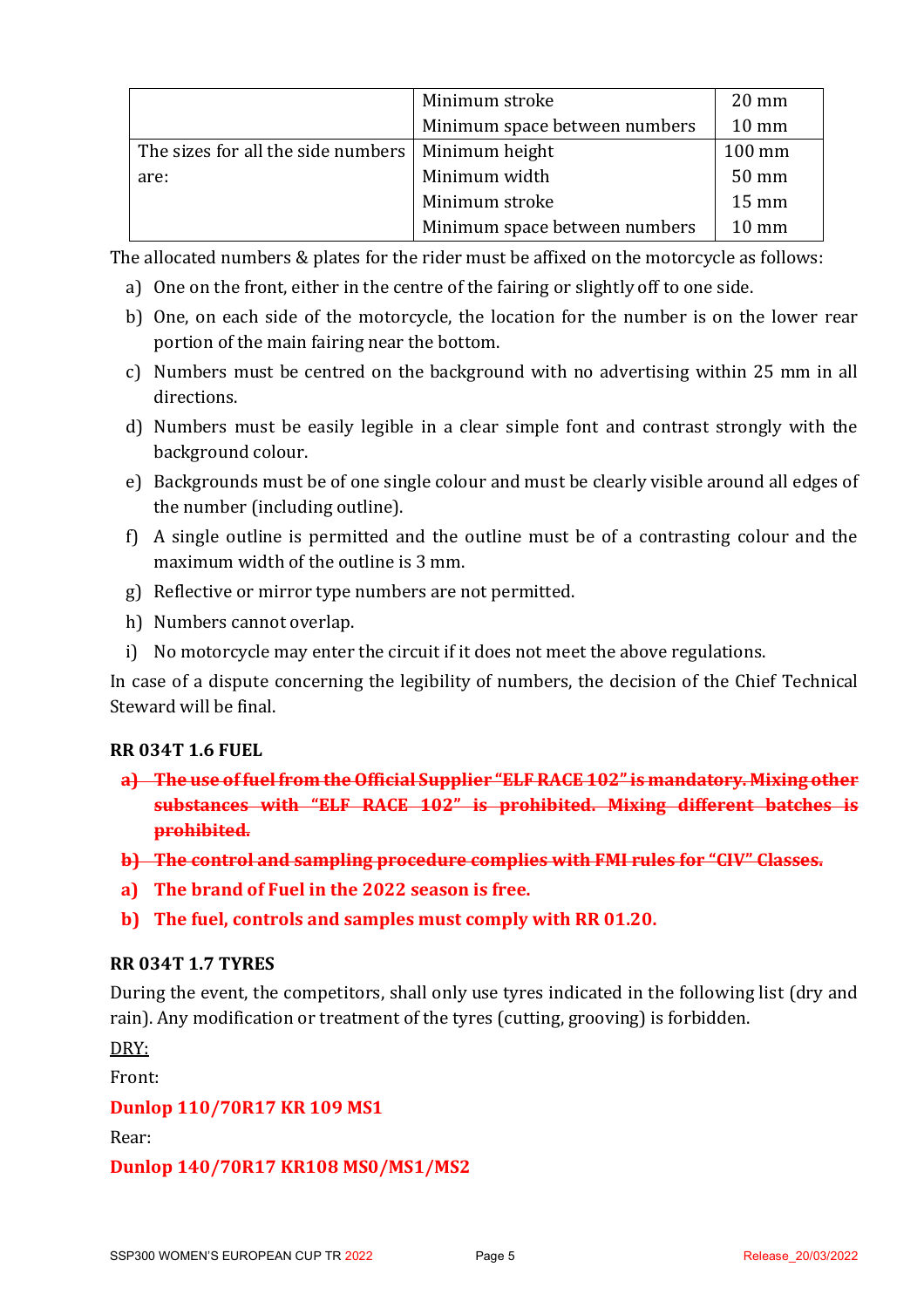|                                                     | Minimum stroke                | $20 \text{ mm}$ |
|-----------------------------------------------------|-------------------------------|-----------------|
|                                                     | Minimum space between numbers | $10 \text{ mm}$ |
| The sizes for all the side numbers   Minimum height |                               | 100 mm          |
| are:                                                | Minimum width                 | 50 mm           |
|                                                     | Minimum stroke                | 15 mm           |
|                                                     | Minimum space between numbers | $10 \text{ mm}$ |

The allocated numbers & plates for the rider must be affixed on the motorcycle as follows:

- a) One on the front, either in the centre of the fairing or slightly off to one side.
- b) One, on each side of the motorcycle, the location for the number is on the lower rear portion of the main fairing near the bottom.
- c) Numbers must be centred on the background with no advertising within 25 mm in all directions.
- d) Numbers must be easily legible in a clear simple font and contrast strongly with the background colour.
- e) Backgrounds must be of one single colour and must be clearly visible around all edges of the number (including outline).
- f) A single outline is permitted and the outline must be of a contrasting colour and the maximum width of the outline is 3 mm.
- g) Reflective or mirror type numbers are not permitted.
- h) Numbers cannot overlap.
- i) No motorcycle may enter the circuit if it does not meet the above regulations.

In case of a dispute concerning the legibility of numbers, the decision of the Chief Technical Steward will be final.

#### **RR 034T 1.6 FUEL**

- a) The use of fuel from the Official Supplier "ELF RACE 102" is mandatory. Mixing other substances with "ELF RACE 102" is prohibited. Mixing different batches is **prohibited.**
- **b**) The control and sampling procedure complies with FMI rules for "CIV" Classes.
- **a) The brand of Fuel in the 2022 season is free.**
- **b)** The fuel, controls and samples must comply with RR 01.20.

#### **RR 034T 1.7 TYRES**

During the event, the competitors, shall only use tyres indicated in the following list (dry and rain). Any modification or treatment of the tyres (cutting, grooving) is forbidden.

DRY:

Front:

#### **Dunlop 110/70R17 KR 109 MS1**

Rear:

#### **Dunlop 140/70R17 KR108 MS0/MS1/MS2**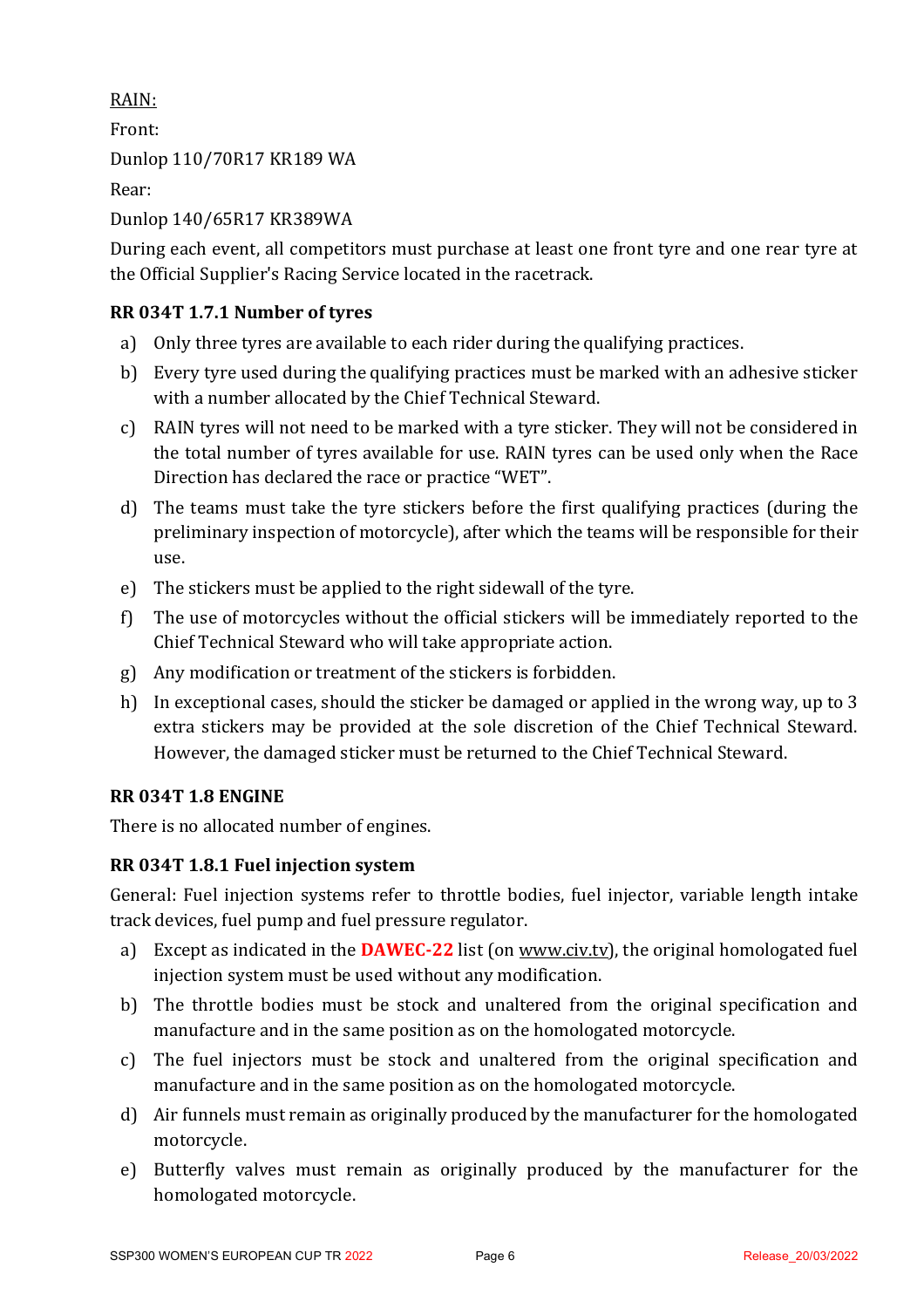#### RAIN:

Front:

Dunlop 110/70R17 KR189 WA

Rear:

Dunlop 140/65R17 KR389WA

During each event, all competitors must purchase at least one front tyre and one rear tyre at the Official Supplier's Racing Service located in the racetrack.

### **RR 034T 1.7.1 Number of tyres**

- a) Only three tyres are available to each rider during the qualifying practices.
- b) Every tyre used during the qualifying practices must be marked with an adhesive sticker with a number allocated by the Chief Technical Steward.
- c) RAIN tyres will not need to be marked with a tyre sticker. They will not be considered in the total number of tyres available for use. RAIN tyres can be used only when the Race Direction has declared the race or practice "WET".
- d) The teams must take the tyre stickers before the first qualifying practices (during the preliminary inspection of motorcycle), after which the teams will be responsible for their use.
- e) The stickers must be applied to the right sidewall of the tyre.
- f) The use of motorcycles without the official stickers will be immediately reported to the Chief Technical Steward who will take appropriate action.
- g) Any modification or treatment of the stickers is forbidden.
- h) In exceptional cases, should the sticker be damaged or applied in the wrong way, up to 3 extra stickers may be provided at the sole discretion of the Chief Technical Steward. However, the damaged sticker must be returned to the Chief Technical Steward.

#### **RR 034T 1.8 ENGINE**

There is no allocated number of engines.

#### **RR 034T 1.8.1 Fuel injection system**

General: Fuel injection systems refer to throttle bodies, fuel injector, variable length intake track devices, fuel pump and fuel pressure regulator.

- a) Except as indicated in the **DAWEC-22** list (on www.civ.tv), the original homologated fuel injection system must be used without any modification.
- b) The throttle bodies must be stock and unaltered from the original specification and manufacture and in the same position as on the homologated motorcycle.
- c) The fuel injectors must be stock and unaltered from the original specification and manufacture and in the same position as on the homologated motorcycle.
- d) Air funnels must remain as originally produced by the manufacturer for the homologated motorcycle.
- e) Butterfly valves must remain as originally produced by the manufacturer for the homologated motorcycle.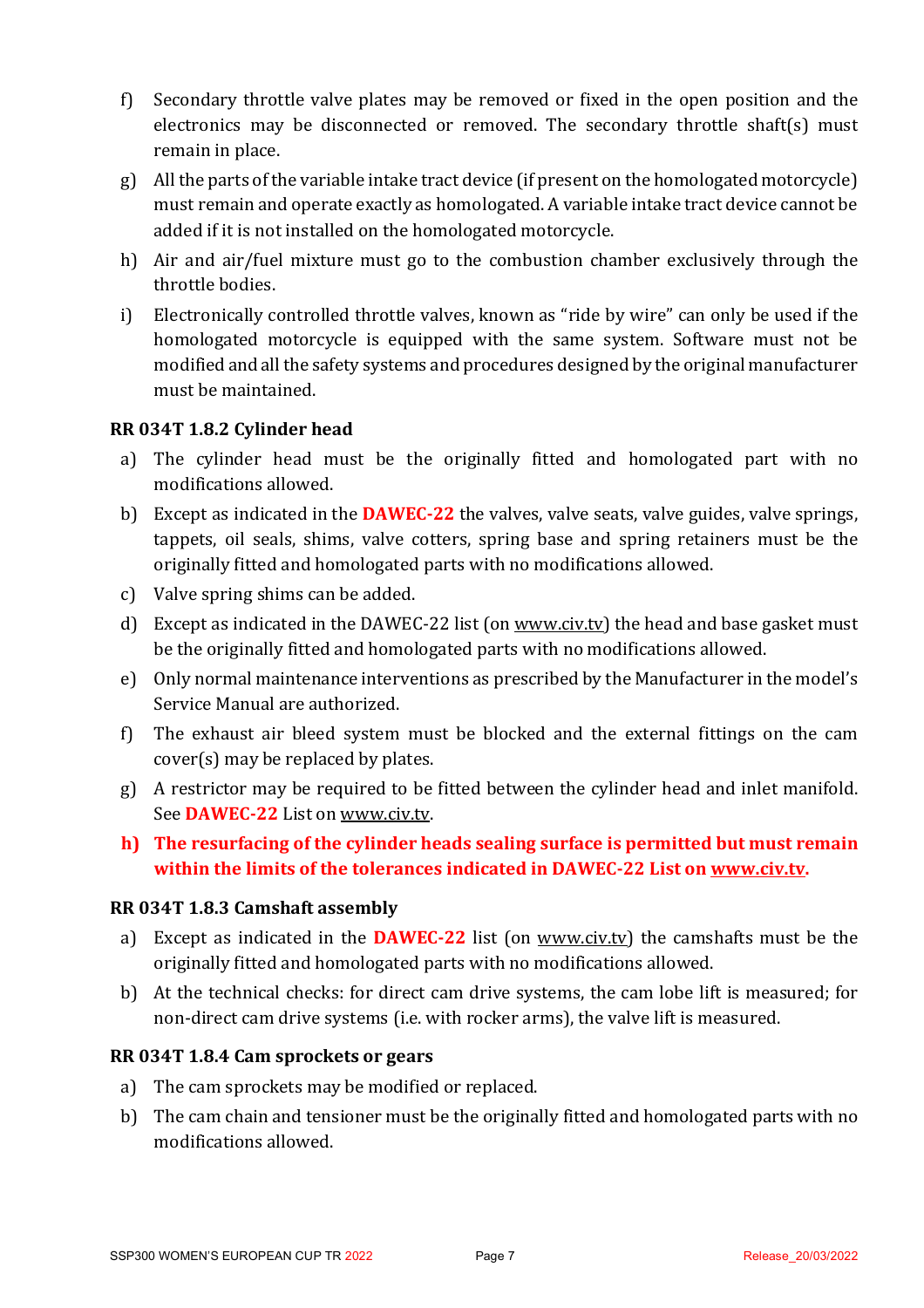- f) Secondary throttle valve plates may be removed or fixed in the open position and the electronics may be disconnected or removed. The secondary throttle shaft(s) must remain in place.
- $g$ ) All the parts of the variable intake tract device (if present on the homologated motorcycle) must remain and operate exactly as homologated. A variable intake tract device cannot be added if it is not installed on the homologated motorcycle.
- h) Air and air/fuel mixture must go to the combustion chamber exclusively through the throttle bodies.
- i) Electronically controlled throttle valves, known as "ride by wire" can only be used if the homologated motorcycle is equipped with the same system. Software must not be modified and all the safety systems and procedures designed by the original manufacturer must be maintained.

#### **RR 034T 1.8.2 Cylinder head**

- a) The cylinder head must be the originally fitted and homologated part with no modifications allowed.
- b) Except as indicated in the **DAWEC-22** the valves, valve seats, valve guides, valve springs, tappets, oil seals, shims, valve cotters, spring base and spring retainers must be the originally fitted and homologated parts with no modifications allowed.
- c) Valve spring shims can be added.
- d) Except as indicated in the DAWEC-22 list (on www.civ.tv) the head and base gasket must be the originally fitted and homologated parts with no modifications allowed.
- e) Only normal maintenance interventions as prescribed by the Manufacturer in the model's Service Manual are authorized.
- f) The exhaust air bleed system must be blocked and the external fittings on the cam  $cover(s)$  may be replaced by plates.
- g) A restrictor may be required to be fitted between the cylinder head and inlet manifold. See **DAWEC-22** List on www.civ.tv.
- **h)** The resurfacing of the cylinder heads sealing surface is permitted but must remain **within the limits of the tolerances indicated in DAWEC-22 List on www.civ.tv.**

#### **RR 034T 1.8.3 Camshaft assembly**

- a) Except as indicated in the **DAWEC-22** list (on www.civ.tv) the camshafts must be the originally fitted and homologated parts with no modifications allowed.
- b) At the technical checks: for direct cam drive systems, the cam lobe lift is measured; for non-direct cam drive systems (i.e. with rocker arms), the valve lift is measured.

#### **RR 034T 1.8.4 Cam sprockets or gears**

- a) The cam sprockets may be modified or replaced.
- b) The cam chain and tensioner must be the originally fitted and homologated parts with no modifications allowed.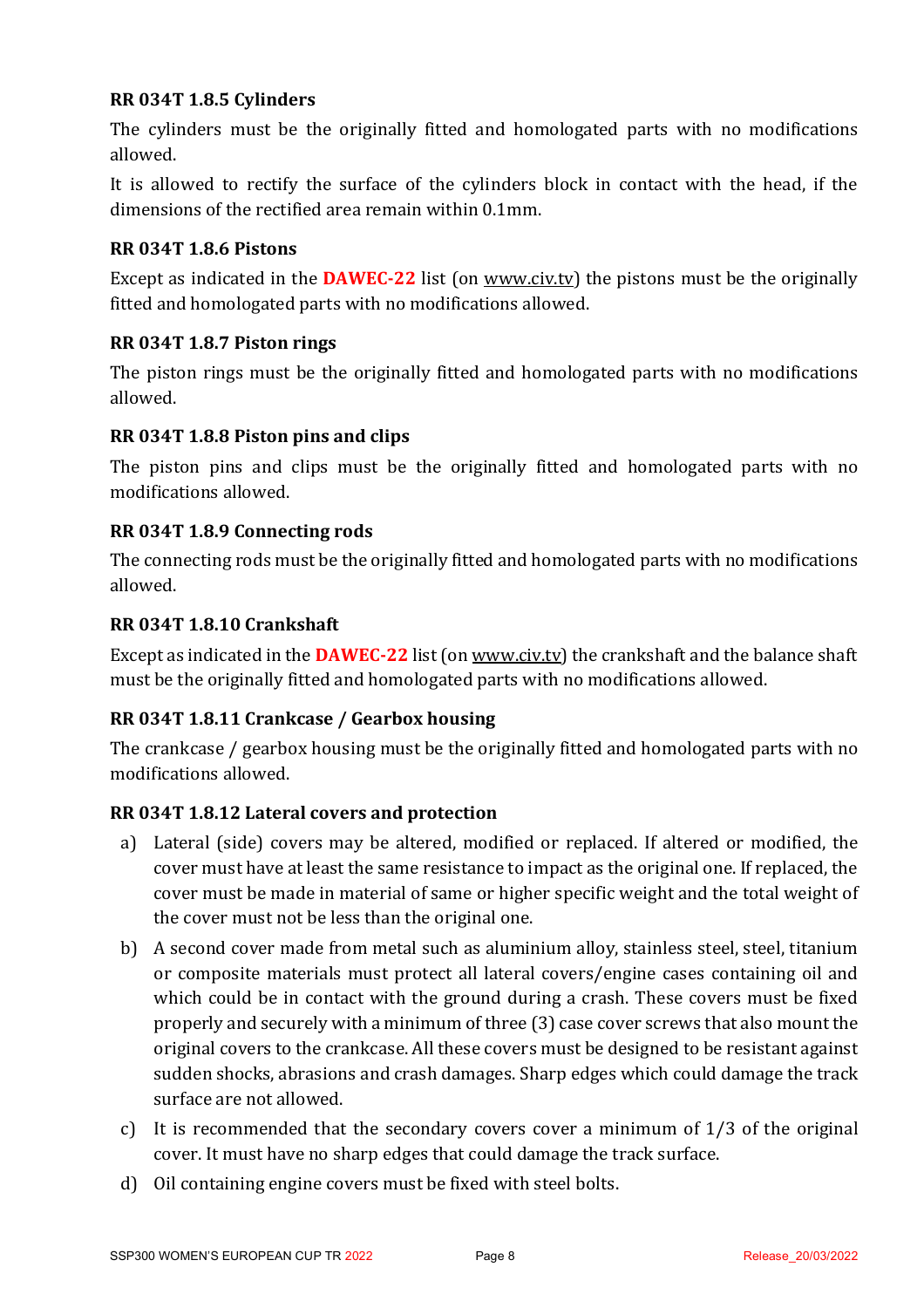#### **RR 034T 1.8.5 Cylinders**

The cylinders must be the originally fitted and homologated parts with no modifications allowed.

It is allowed to rectify the surface of the cylinders block in contact with the head, if the dimensions of the rectified area remain within 0.1mm.

#### **RR 034T 1.8.6 Pistons**

Except as indicated in the **DAWEC-22** list (on <u>www.civ.tv</u>) the pistons must be the originally fitted and homologated parts with no modifications allowed.

#### **RR 034T 1.8.7 Piston rings**

The piston rings must be the originally fitted and homologated parts with no modifications allowed.

#### **RR 034T 1.8.8 Piston pins and clips**

The piston pins and clips must be the originally fitted and homologated parts with no modifications allowed.

#### **RR 034T 1.8.9 Connecting rods**

The connecting rods must be the originally fitted and homologated parts with no modifications allowed.

#### **RR 034T 1.8.10 Crankshaft**

Except as indicated in the **DAWEC-22** list (on www.civ.tv) the crankshaft and the balance shaft must be the originally fitted and homologated parts with no modifications allowed.

#### **RR 034T 1.8.11 Crankcase / Gearbox housing**

The crankcase / gearbox housing must be the originally fitted and homologated parts with no modifications allowed.

#### **RR 034T 1.8.12 Lateral covers and protection**

- a) Lateral (side) covers may be altered, modified or replaced. If altered or modified, the cover must have at least the same resistance to impact as the original one. If replaced, the cover must be made in material of same or higher specific weight and the total weight of the cover must not be less than the original one.
- b) A second cover made from metal such as aluminium alloy, stainless steel, steel, titanium or composite materials must protect all lateral covers/engine cases containing oil and which could be in contact with the ground during a crash. These covers must be fixed properly and securely with a minimum of three (3) case cover screws that also mount the original covers to the crankcase. All these covers must be designed to be resistant against sudden shocks, abrasions and crash damages. Sharp edges which could damage the track surface are not allowed.
- c) It is recommended that the secondary covers cover a minimum of  $1/3$  of the original cover. It must have no sharp edges that could damage the track surface.
- d) Oil containing engine covers must be fixed with steel bolts.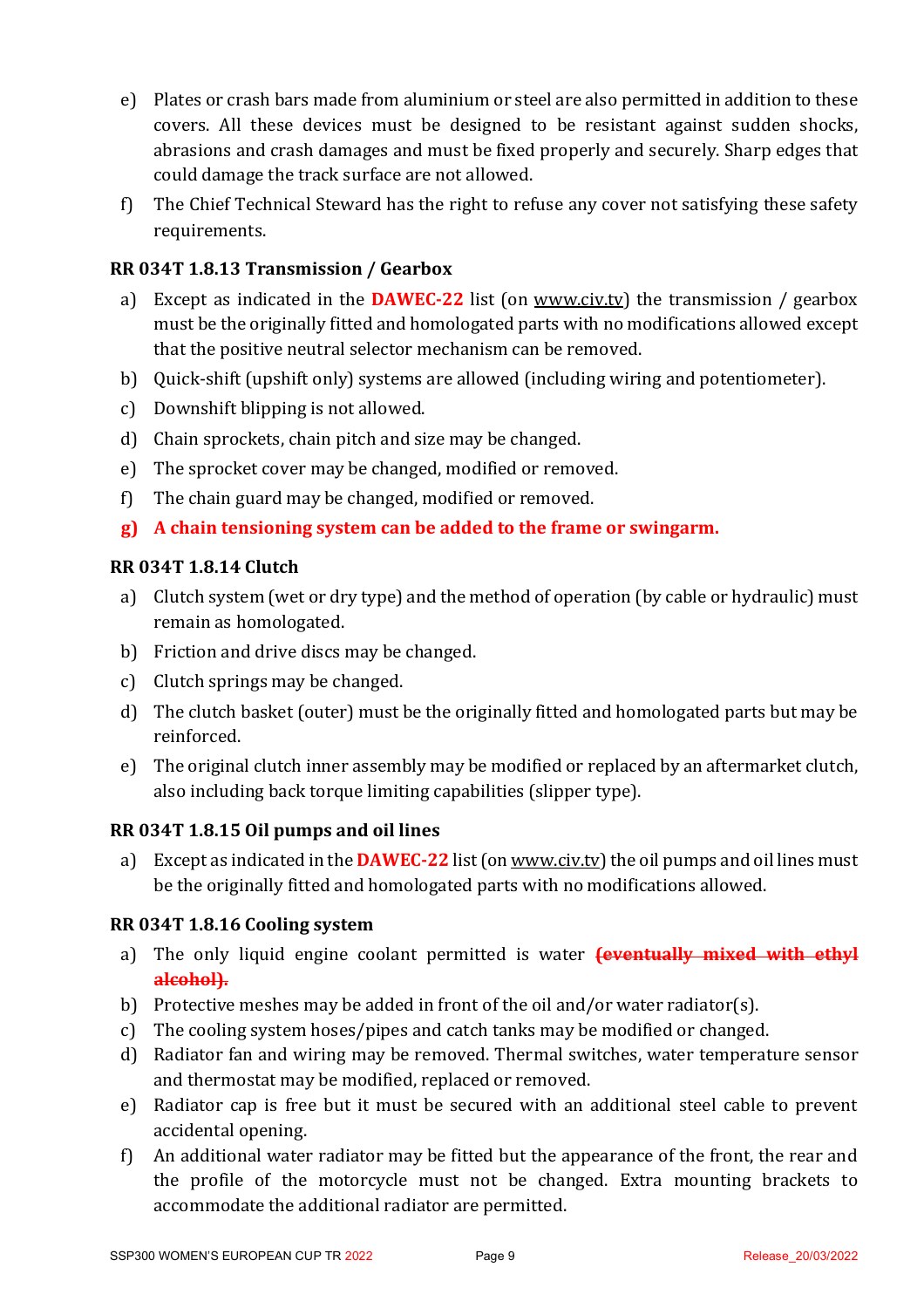- e) Plates or crash bars made from aluminium or steel are also permitted in addition to these covers. All these devices must be designed to be resistant against sudden shocks, abrasions and crash damages and must be fixed properly and securely. Sharp edges that could damage the track surface are not allowed.
- f) The Chief Technical Steward has the right to refuse any cover not satisfying these safety requirements.

#### **RR 034T 1.8.13 Transmission / Gearbox**

- a) Except as indicated in the **DAWEC-22** list (on www.civ.tv) the transmission / gearbox must be the originally fitted and homologated parts with no modifications allowed except that the positive neutral selector mechanism can be removed.
- b) Quick-shift (upshift only) systems are allowed (including wiring and potentiometer).
- c) Downshift blipping is not allowed.
- d) Chain sprockets, chain pitch and size may be changed.
- e) The sprocket cover may be changed, modified or removed.
- f) The chain guard may be changed, modified or removed.
- **g) A chain tensioning system can be added to the frame or swingarm.**

#### **RR 034T 1.8.14 Clutch**

- a) Clutch system (wet or dry type) and the method of operation (by cable or hydraulic) must remain as homologated.
- b) Friction and drive discs may be changed.
- c) Clutch springs may be changed.
- d) The clutch basket (outer) must be the originally fitted and homologated parts but may be reinforced.
- e) The original clutch inner assembly may be modified or replaced by an aftermarket clutch, also including back torque limiting capabilities (slipper type).

#### **RR 034T 1.8.15 Oil pumps and oil lines**

a) Except as indicated in the **DAWEC-22** list (on <u>www.civ.tv</u>) the oil pumps and oil lines must be the originally fitted and homologated parts with no modifications allowed.

#### **RR 034T 1.8.16 Cooling system**

- a) The only liquid engine coolant permitted is water **(eventually mixed with ethyl alcohol).**
- b) Protective meshes may be added in front of the oil and/or water radiator(s).
- c) The cooling system hoses/pipes and catch tanks may be modified or changed.
- d) Radiator fan and wiring may be removed. Thermal switches, water temperature sensor and thermostat may be modified, replaced or removed.
- e) Radiator cap is free but it must be secured with an additional steel cable to prevent accidental opening.
- f) An additional water radiator may be fitted but the appearance of the front, the rear and the profile of the motorcycle must not be changed. Extra mounting brackets to accommodate the additional radiator are permitted.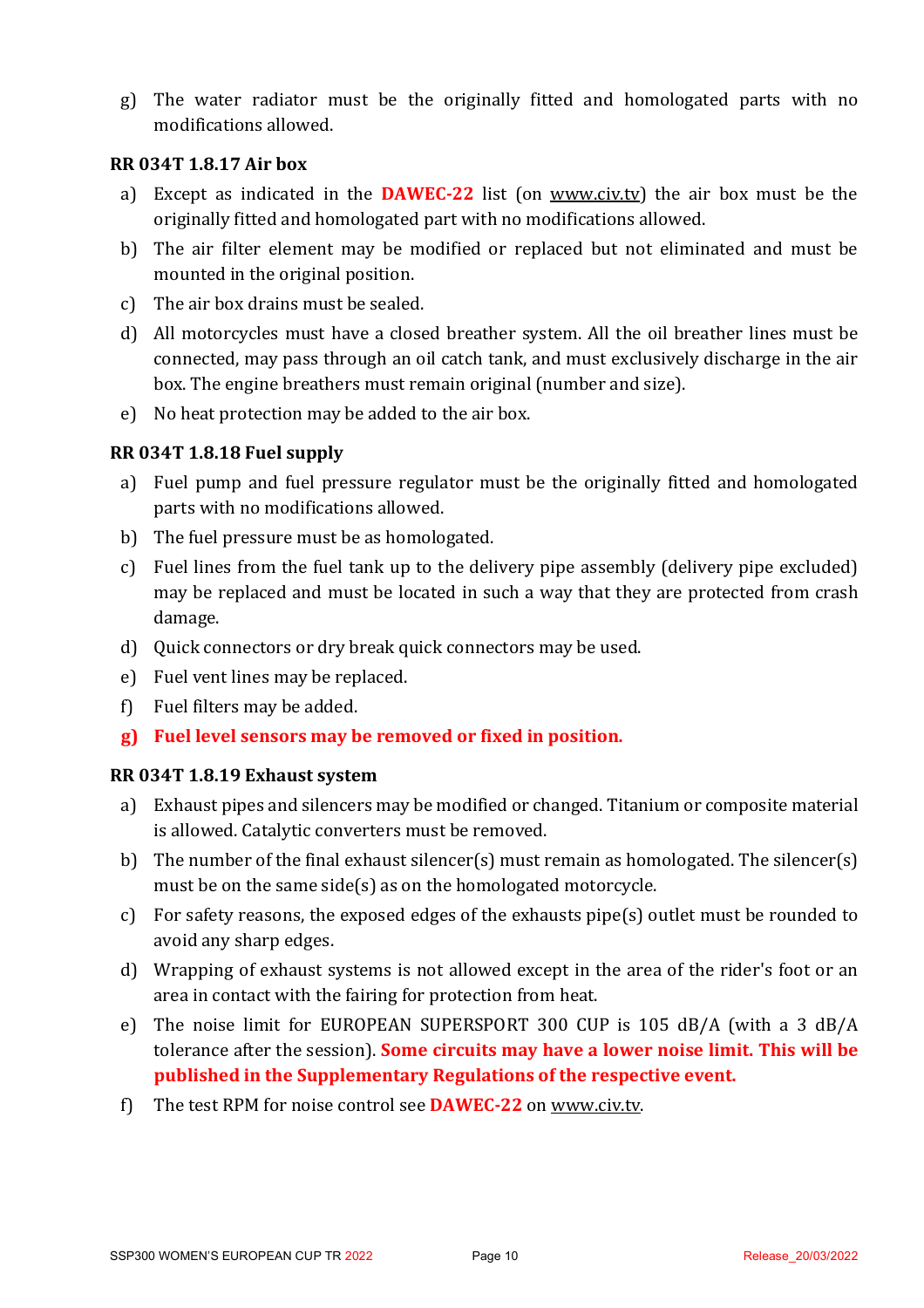g) The water radiator must be the originally fitted and homologated parts with no modifications allowed.

#### **RR 034T 1.8.17 Air box**

- a) Except as indicated in the **DAWEC-22** list (on <u>www.civ.tv</u>) the air box must be the originally fitted and homologated part with no modifications allowed.
- b) The air filter element may be modified or replaced but not eliminated and must be mounted in the original position.
- c) The air box drains must be sealed.
- d) All motorcycles must have a closed breather system. All the oil breather lines must be connected, may pass through an oil catch tank, and must exclusively discharge in the air box. The engine breathers must remain original (number and size).
- e) No heat protection may be added to the air box.

#### **RR 034T 1.8.18 Fuel supply**

- a) Fuel pump and fuel pressure regulator must be the originally fitted and homologated parts with no modifications allowed.
- b) The fuel pressure must be as homologated.
- c) Fuel lines from the fuel tank up to the delivery pipe assembly (delivery pipe excluded) may be replaced and must be located in such a way that they are protected from crash damage.
- d) Quick connectors or dry break quick connectors may be used.
- e) Fuel vent lines may be replaced.
- $f$  Fuel filters may be added.
- **g) Fuel level sensors may be removed or fixed in position.**

#### **RR 034T 1.8.19 Exhaust system**

- a) Exhaust pipes and silencers may be modified or changed. Titanium or composite material is allowed. Catalytic converters must be removed.
- b) The number of the final exhaust silencer(s) must remain as homologated. The silencer(s) must be on the same side(s) as on the homologated motorcycle.
- c) For safety reasons, the exposed edges of the exhausts pipe(s) outlet must be rounded to avoid any sharp edges.
- d) Wrapping of exhaust systems is not allowed except in the area of the rider's foot or an area in contact with the fairing for protection from heat.
- e) The noise limit for EUROPEAN SUPERSPORT 300 CUP is 105 dB/A (with a 3 dB/A tolerance after the session). **Some circuits may have a lower noise limit. This will be** published in the Supplementary Regulations of the respective event.
- f) The test RPM for noise control see **DAWEC-22** on www.civ.tv.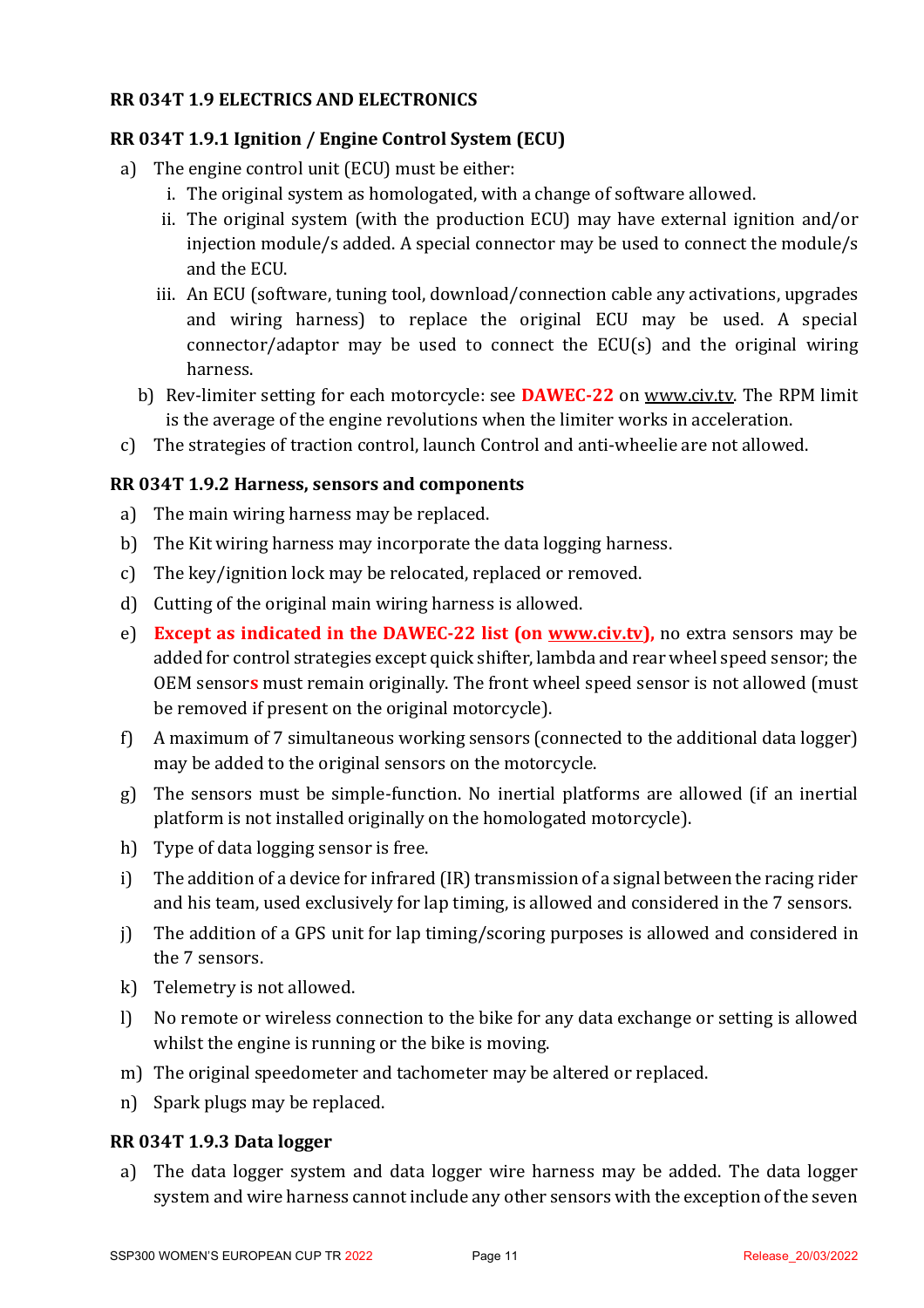#### **RR 034T 1.9 ELECTRICS AND ELECTRONICS**

#### **RR 034T 1.9.1 Ignition / Engine Control System (ECU)**

- a) The engine control unit (ECU) must be either:
	- i. The original system as homologated, with a change of software allowed.
	- ii. The original system (with the production ECU) may have external ignition and/or injection module/s added. A special connector may be used to connect the module/s and the ECU.
	- iii. An ECU (software, tuning tool, download/connection cable any activations, upgrades and wiring harness) to replace the original ECU may be used. A special connector/adaptor may be used to connect the  $ECU(s)$  and the original wiring harness.
	- b) Rev-limiter setting for each motorcycle: see **DAWEC-22** on www.civ.tv. The RPM limit is the average of the engine revolutions when the limiter works in acceleration.
- c) The strategies of traction control, launch Control and anti-wheelie are not allowed.

#### **RR 034T 1.9.2 Harness, sensors and components**

- a) The main wiring harness may be replaced.
- b) The Kit wiring harness may incorporate the data logging harness.
- c) The key/ignition lock may be relocated, replaced or removed.
- d) Cutting of the original main wiring harness is allowed.
- e) **Except as indicated in the DAWEC-22 list (on www.civ.tv)**, no extra sensors may be added for control strategies except quick shifter, lambda and rear wheel speed sensor; the OEM sensors must remain originally. The front wheel speed sensor is not allowed (must be removed if present on the original motorcycle).
- f) A maximum of 7 simultaneous working sensors (connected to the additional data logger) may be added to the original sensors on the motorcycle.
- g) The sensors must be simple-function. No inertial platforms are allowed (if an inertial platform is not installed originally on the homologated motorcycle).
- h) Type of data logging sensor is free.
- i) The addition of a device for infrared (IR) transmission of a signal between the racing rider and his team, used exclusively for lap timing, is allowed and considered in the 7 sensors.
- j) The addition of a GPS unit for lap timing/scoring purposes is allowed and considered in the 7 sensors.
- k) Telemetry is not allowed.
- l) No remote or wireless connection to the bike for any data exchange or setting is allowed whilst the engine is running or the bike is moving.
- m) The original speedometer and tachometer may be altered or replaced.
- n) Spark plugs may be replaced.

#### **RR 034T 1.9.3 Data logger**

a) The data logger system and data logger wire harness may be added. The data logger system and wire harness cannot include any other sensors with the exception of the seven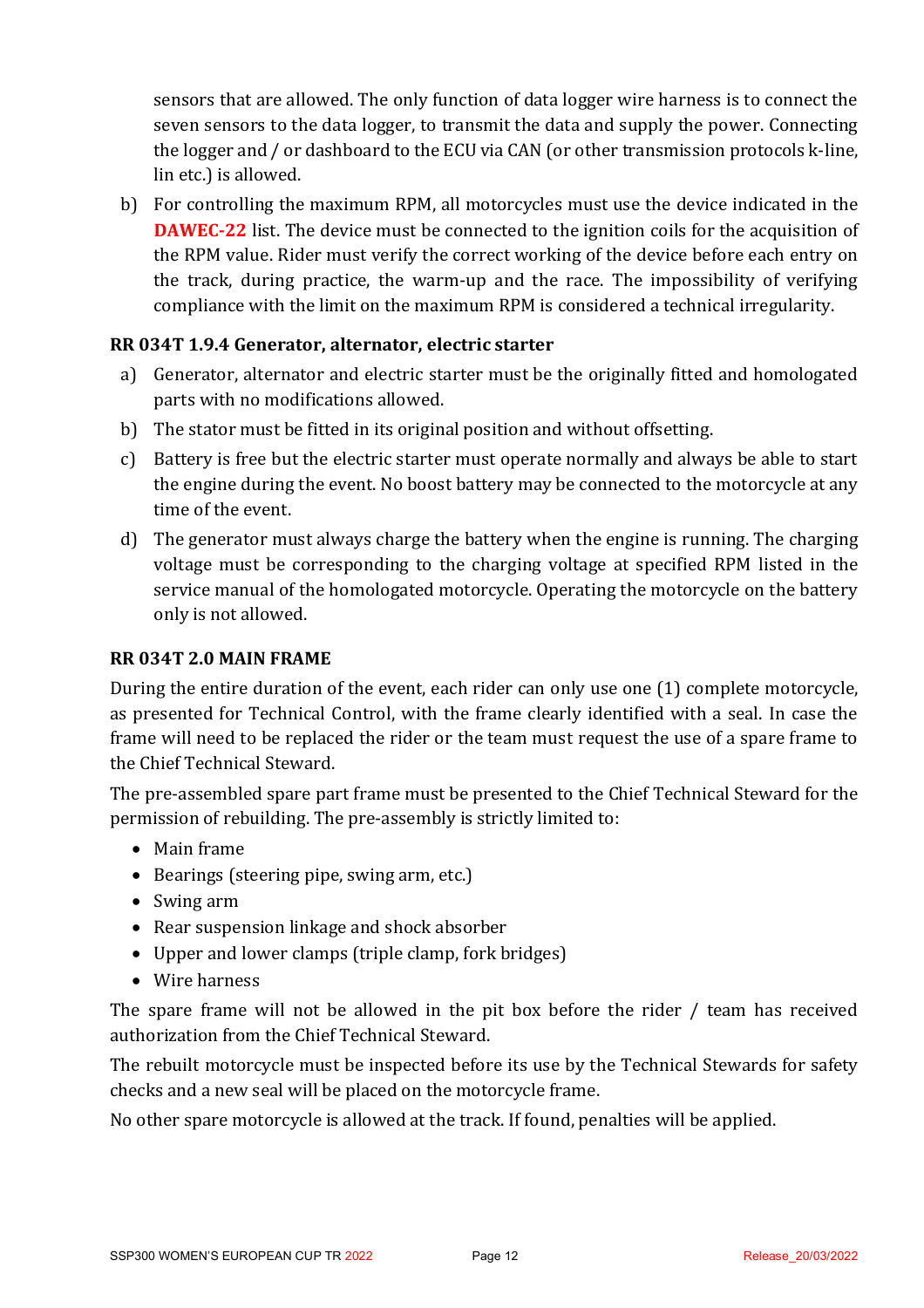sensors that are allowed. The only function of data logger wire harness is to connect the seven sensors to the data logger, to transmit the data and supply the power. Connecting the logger and / or dashboard to the ECU via CAN (or other transmission protocols k-line, lin etc.) is allowed.

b) For controlling the maximum RPM, all motorcycles must use the device indicated in the **DAWEC-22** list. The device must be connected to the ignition coils for the acquisition of the RPM value. Rider must verify the correct working of the device before each entry on the track, during practice, the warm-up and the race. The impossibility of verifying compliance with the limit on the maximum RPM is considered a technical irregularity.

#### **RR 034T 1.9.4 Generator, alternator, electric starter**

- a) Generator, alternator and electric starter must be the originally fitted and homologated parts with no modifications allowed.
- b) The stator must be fitted in its original position and without offsetting.
- c) Battery is free but the electric starter must operate normally and always be able to start the engine during the event. No boost battery may be connected to the motorcycle at any time of the event.
- d) The generator must always charge the battery when the engine is running. The charging voltage must be corresponding to the charging voltage at specified RPM listed in the service manual of the homologated motorcycle. Operating the motorcycle on the battery only is not allowed.

#### **RR 034T 2.0 MAIN FRAME**

During the entire duration of the event, each rider can only use one (1) complete motorcycle, as presented for Technical Control, with the frame clearly identified with a seal. In case the frame will need to be replaced the rider or the team must request the use of a spare frame to the Chief Technical Steward.

The pre-assembled spare part frame must be presented to the Chief Technical Steward for the permission of rebuilding. The pre-assembly is strictly limited to:

- Main frame
- Bearings (steering pipe, swing arm, etc.)
- Swing arm
- Rear suspension linkage and shock absorber
- Upper and lower clamps (triple clamp, fork bridges)
- Wire harness

The spare frame will not be allowed in the pit box before the rider  $/$  team has received authorization from the Chief Technical Steward.

The rebuilt motorcycle must be inspected before its use by the Technical Stewards for safety checks and a new seal will be placed on the motorcycle frame.

No other spare motorcycle is allowed at the track. If found, penalties will be applied.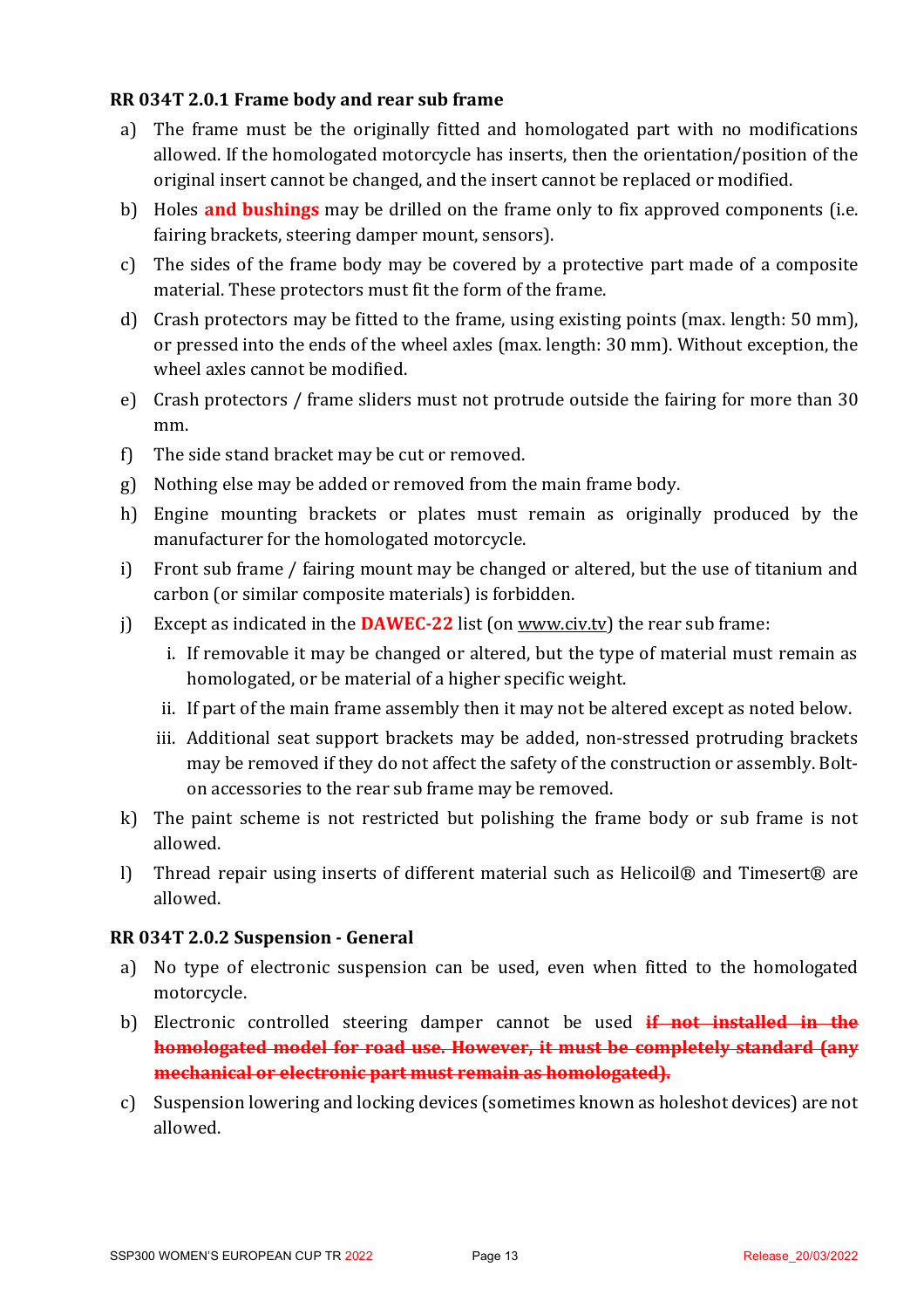#### **RR 034T 2.0.1 Frame body and rear sub frame**

- a) The frame must be the originally fitted and homologated part with no modifications allowed. If the homologated motorcycle has inserts, then the orientation/position of the original insert cannot be changed, and the insert cannot be replaced or modified.
- b) Holes **and bushings** may be drilled on the frame only to fix approved components (i.e. fairing brackets, steering damper mount, sensors).
- c) The sides of the frame body may be covered by a protective part made of a composite material. These protectors must fit the form of the frame.
- d) Crash protectors may be fitted to the frame, using existing points (max. length: 50 mm), or pressed into the ends of the wheel axles (max. length: 30 mm). Without exception, the wheel axles cannot be modified.
- e) Crash protectors / frame sliders must not protrude outside the fairing for more than 30 mm.
- f) The side stand bracket may be cut or removed.
- g) Nothing else may be added or removed from the main frame body.
- h) Engine mounting brackets or plates must remain as originally produced by the manufacturer for the homologated motorcycle.
- i) Front sub frame / fairing mount may be changed or altered, but the use of titanium and carbon (or similar composite materials) is forbidden.
- j) Except as indicated in the **DAWEC-22** list (on <u>www.civ.tv</u>) the rear sub frame:
	- i. If removable it may be changed or altered, but the type of material must remain as homologated, or be material of a higher specific weight.
	- ii. If part of the main frame assembly then it may not be altered except as noted below.
	- iii. Additional seat support brackets may be added, non-stressed protruding brackets may be removed if they do not affect the safety of the construction or assembly. Bolton accessories to the rear sub frame may be removed.
- k) The paint scheme is not restricted but polishing the frame body or sub frame is not allowed.
- l) Thread repair using inserts of different material such as Helicoil® and Timesert® are allowed.

#### **RR 034T 2.0.2 Suspension - General**

- a) No type of electronic suspension can be used, even when fitted to the homologated motorcycle.
- b) Electronic controlled steering damper cannot be used **if not installed in the homologated model for road use. However, it must be completely standard (any mechanical or electronic part must remain as homologated).**
- c) Suspension lowering and locking devices (sometimes known as holeshot devices) are not allowed.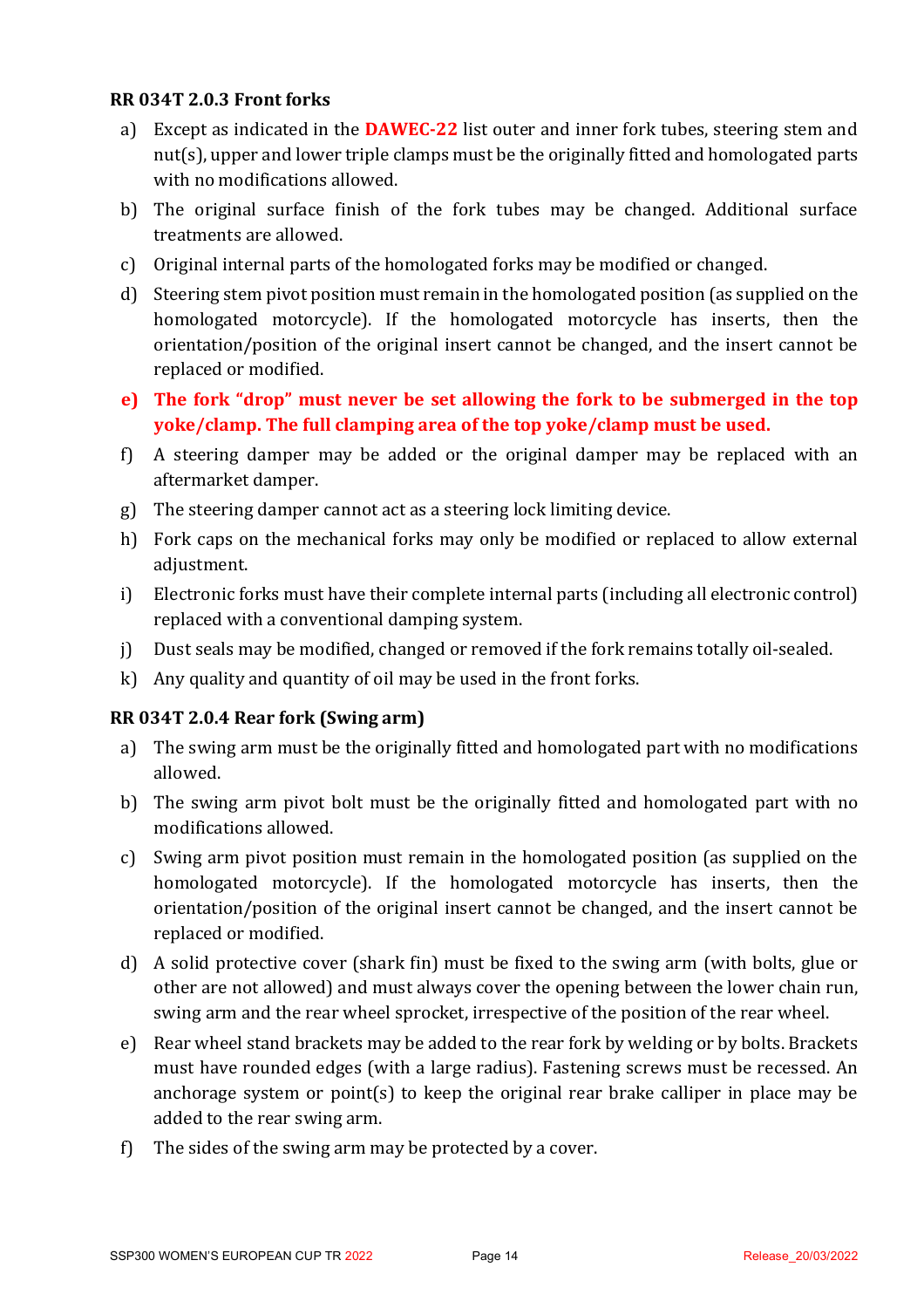#### **RR 034T 2.0.3 Front forks**

- a) Except as indicated in the **DAWEC-22** list outer and inner fork tubes, steering stem and  $nut(s)$ , upper and lower triple clamps must be the originally fitted and homologated parts with no modifications allowed.
- b) The original surface finish of the fork tubes may be changed. Additional surface treatments are allowed.
- c) Original internal parts of the homologated forks may be modified or changed.
- d) Steering stem pivot position must remain in the homologated position (as supplied on the homologated motorcycle). If the homologated motorcycle has inserts, then the orientation/position of the original insert cannot be changed, and the insert cannot be replaced or modified.
- **e)** The fork "drop" must never be set allowing the fork to be submerged in the top **yoke/clamp.** The full clamping area of the top yoke/clamp must be used.
- f) A steering damper may be added or the original damper may be replaced with an aftermarket damper.
- g) The steering damper cannot act as a steering lock limiting device.
- h) Fork caps on the mechanical forks may only be modified or replaced to allow external adjustment.
- i) Electronic forks must have their complete internal parts (including all electronic control) replaced with a conventional damping system.
- j) Dust seals may be modified, changed or removed if the fork remains totally oil-sealed.
- k) Any quality and quantity of oil may be used in the front forks.

#### **RR 034T 2.0.4 Rear fork (Swing arm)**

- a) The swing arm must be the originally fitted and homologated part with no modifications allowed.
- b) The swing arm pivot bolt must be the originally fitted and homologated part with no modifications allowed.
- c) Swing arm pivot position must remain in the homologated position (as supplied on the homologated motorcycle). If the homologated motorcycle has inserts, then the orientation/position of the original insert cannot be changed, and the insert cannot be replaced or modified.
- d) A solid protective cover (shark fin) must be fixed to the swing arm (with bolts, glue or other are not allowed) and must always cover the opening between the lower chain run, swing arm and the rear wheel sprocket, irrespective of the position of the rear wheel.
- e) Rear wheel stand brackets may be added to the rear fork by welding or by bolts. Brackets must have rounded edges (with a large radius). Fastening screws must be recessed. An anchorage system or point(s) to keep the original rear brake calliper in place may be added to the rear swing arm.
- f) The sides of the swing arm may be protected by a cover.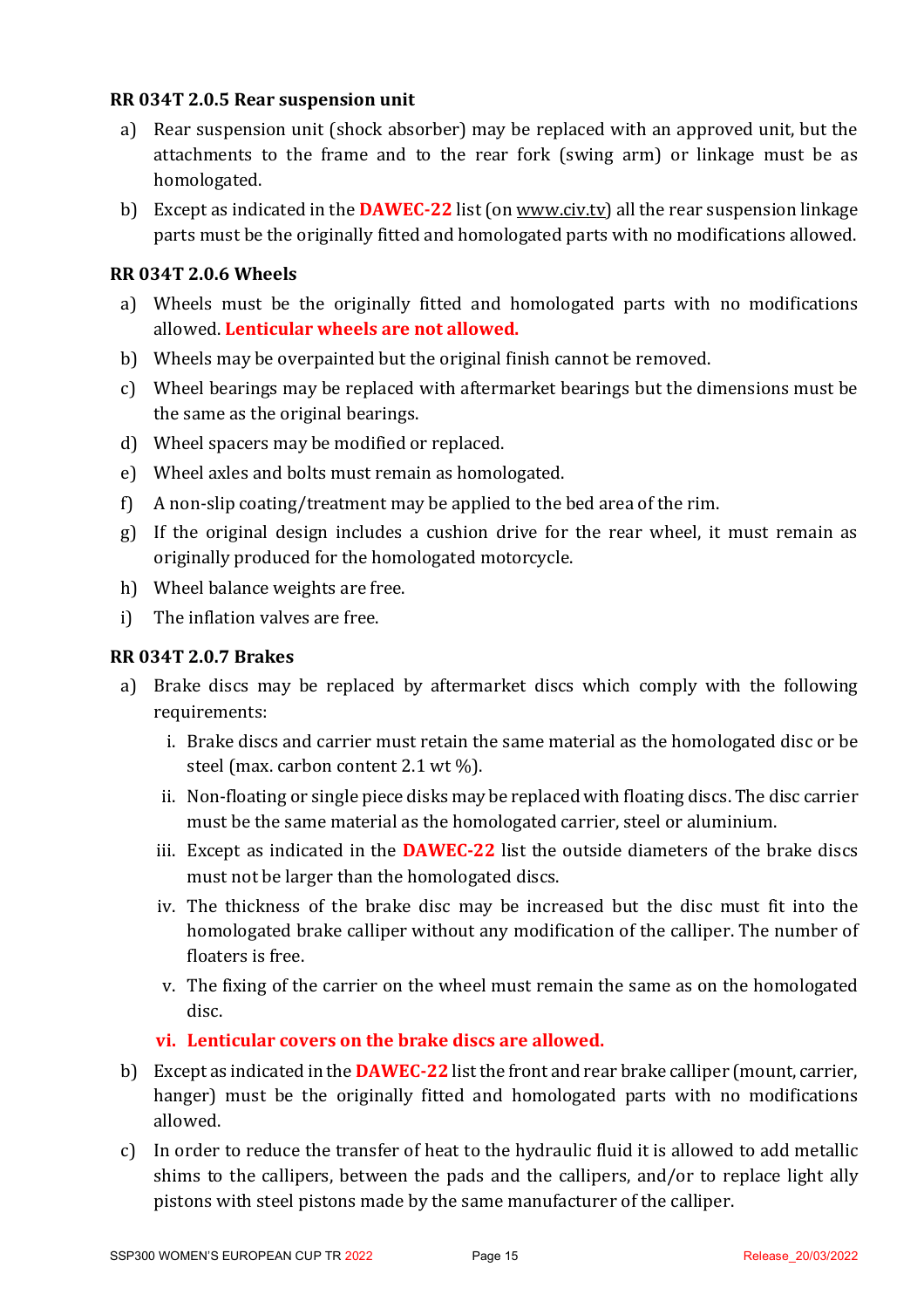#### **RR 034T 2.0.5 Rear suspension unit**

- a) Rear suspension unit (shock absorber) may be replaced with an approved unit, but the attachments to the frame and to the rear fork (swing arm) or linkage must be as homologated.
- b) Except as indicated in the **DAWEC-22** list (on www.civ.tv) all the rear suspension linkage parts must be the originally fitted and homologated parts with no modifications allowed.

#### **RR 034T 2.0.6 Wheels**

- a) Wheels must be the originally fitted and homologated parts with no modifications allowed. Lenticular wheels are not allowed.
- b) Wheels may be overpainted but the original finish cannot be removed.
- c) Wheel bearings may be replaced with aftermarket bearings but the dimensions must be the same as the original bearings.
- d) Wheel spacers may be modified or replaced.
- e) Wheel axles and bolts must remain as homologated.
- f) A non-slip coating/treatment may be applied to the bed area of the rim.
- g) If the original design includes a cushion drive for the rear wheel, it must remain as originally produced for the homologated motorcycle.
- h) Wheel balance weights are free.
- i) The inflation valves are free.

#### **RR 034T 2.0.7 Brakes**

- a) Brake discs may be replaced by aftermarket discs which comply with the following requirements:
	- i. Brake discs and carrier must retain the same material as the homologated disc or be steel (max. carbon content  $2.1$  wt  $\%$ ).
	- ii. Non-floating or single piece disks may be replaced with floating discs. The disc carrier must be the same material as the homologated carrier, steel or aluminium.
	- iii. Except as indicated in the **DAWEC-22** list the outside diameters of the brake discs must not be larger than the homologated discs.
	- iv. The thickness of the brake disc may be increased but the disc must fit into the homologated brake calliper without any modification of the calliper. The number of floaters is free.
	- v. The fixing of the carrier on the wheel must remain the same as on the homologated disc.

#### **vi.** Lenticular covers on the brake discs are allowed.

- b) Except as indicated in the **DAWEC-22** list the front and rear brake calliper (mount, carrier, hanger) must be the originally fitted and homologated parts with no modifications allowed.
- c) In order to reduce the transfer of heat to the hydraulic fluid it is allowed to add metallic shims to the callipers, between the pads and the callipers, and/or to replace light ally pistons with steel pistons made by the same manufacturer of the calliper.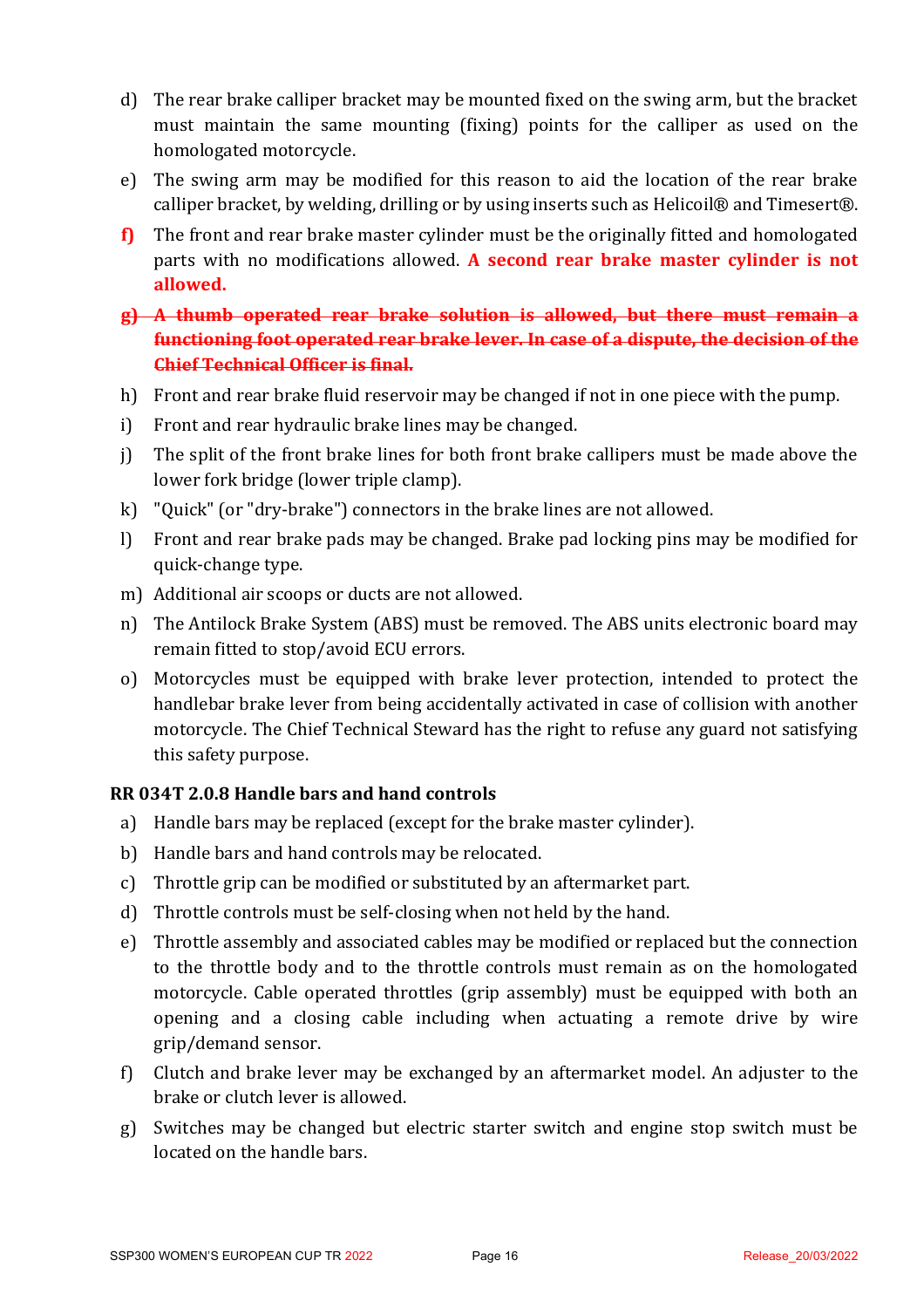- d) The rear brake calliper bracket may be mounted fixed on the swing arm, but the bracket must maintain the same mounting (fixing) points for the calliper as used on the homologated motorcycle.
- e) The swing arm may be modified for this reason to aid the location of the rear brake calliper bracket, by welding, drilling or by using inserts such as Helicoil® and Timesert®.
- **f**) The front and rear brake master cylinder must be the originally fitted and homologated parts with no modifications allowed. A second rear brake master cylinder is not **allowed.**

### **g**) A thumb operated rear brake solution is allowed, but there must remain a **functioning foot operated rear brake lever. In case of a dispute, the decision of the Chief Technical Officer is final.**

- h) Front and rear brake fluid reservoir may be changed if not in one piece with the pump.
- i) Front and rear hydraulic brake lines may be changed.
- j) The split of the front brake lines for both front brake callipers must be made above the lower fork bridge (lower triple clamp).
- k) "Quick" (or "dry-brake") connectors in the brake lines are not allowed.
- l) Front and rear brake pads may be changed. Brake pad locking pins may be modified for quick-change type.
- m) Additional air scoops or ducts are not allowed.
- n) The Antilock Brake System (ABS) must be removed. The ABS units electronic board may remain fitted to stop/avoid ECU errors.
- o) Motorcycles must be equipped with brake lever protection, intended to protect the handlebar brake lever from being accidentally activated in case of collision with another motorcycle. The Chief Technical Steward has the right to refuse any guard not satisfying this safety purpose.

#### **RR 034T 2.0.8 Handle bars and hand controls**

- a) Handle bars may be replaced (except for the brake master cylinder).
- b) Handle bars and hand controls may be relocated.
- c) Throttle grip can be modified or substituted by an aftermarket part.
- d) Throttle controls must be self-closing when not held by the hand.
- e) Throttle assembly and associated cables may be modified or replaced but the connection to the throttle body and to the throttle controls must remain as on the homologated motorcycle. Cable operated throttles (grip assembly) must be equipped with both an opening and a closing cable including when actuating a remote drive by wire grip/demand sensor.
- f) Clutch and brake lever may be exchanged by an aftermarket model. An adjuster to the brake or clutch lever is allowed.
- g) Switches may be changed but electric starter switch and engine stop switch must be located on the handle bars.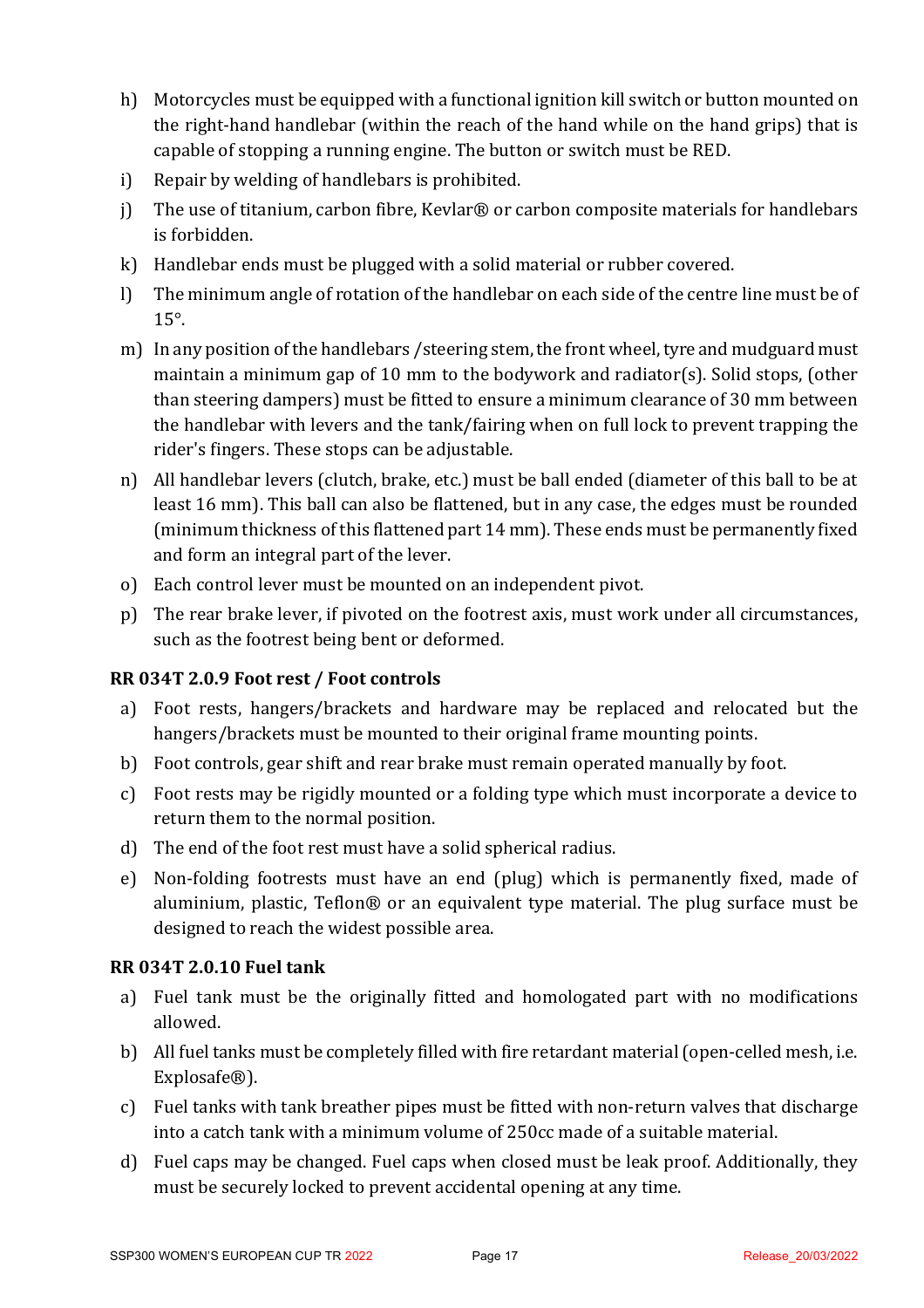- h) Motorcycles must be equipped with a functional ignition kill switch or button mounted on the right-hand handlebar (within the reach of the hand while on the hand grips) that is capable of stopping a running engine. The button or switch must be RED.
- i) Repair by welding of handlebars is prohibited.
- j) The use of titanium, carbon fibre, Kevlar® or carbon composite materials for handlebars is forbidden.
- $k$ ) Handlebar ends must be plugged with a solid material or rubber covered.
- l) The minimum angle of rotation of the handlebar on each side of the centre line must be of 15°.
- m) In any position of the handlebars / steering stem, the front wheel, tyre and mudguard must maintain a minimum gap of 10 mm to the bodywork and radiator(s). Solid stops, (other than steering dampers) must be fitted to ensure a minimum clearance of 30 mm between the handlebar with levers and the tank/fairing when on full lock to prevent trapping the rider's fingers. These stops can be adjustable.
- n) All handlebar levers (clutch, brake, etc.) must be ball ended (diameter of this ball to be at least 16 mm). This ball can also be flattened, but in any case, the edges must be rounded (minimum thickness of this flattened part  $14$  mm). These ends must be permanently fixed and form an integral part of the lever.
- o) Each control lever must be mounted on an independent pivot.
- p) The rear brake lever, if pivoted on the footrest axis, must work under all circumstances, such as the footrest being bent or deformed.

#### **RR 034T 2.0.9 Foot rest / Foot controls**

- a) Foot rests, hangers/brackets and hardware may be replaced and relocated but the hangers/brackets must be mounted to their original frame mounting points.
- b) Foot controls, gear shift and rear brake must remain operated manually by foot.
- c) Foot rests may be rigidly mounted or a folding type which must incorporate a device to return them to the normal position.
- d) The end of the foot rest must have a solid spherical radius.
- e) Non-folding footrests must have an end (plug) which is permanently fixed, made of aluminium, plastic, Teflon® or an equivalent type material. The plug surface must be designed to reach the widest possible area.

#### **RR 034T 2.0.10 Fuel tank**

- a) Fuel tank must be the originally fitted and homologated part with no modifications allowed.
- b) All fuel tanks must be completely filled with fire retardant material (open-celled mesh, i.e. Explosafe®).
- c) Fuel tanks with tank breather pipes must be fitted with non-return valves that discharge into a catch tank with a minimum volume of 250cc made of a suitable material.
- d) Fuel caps may be changed. Fuel caps when closed must be leak proof. Additionally, they must be securely locked to prevent accidental opening at any time.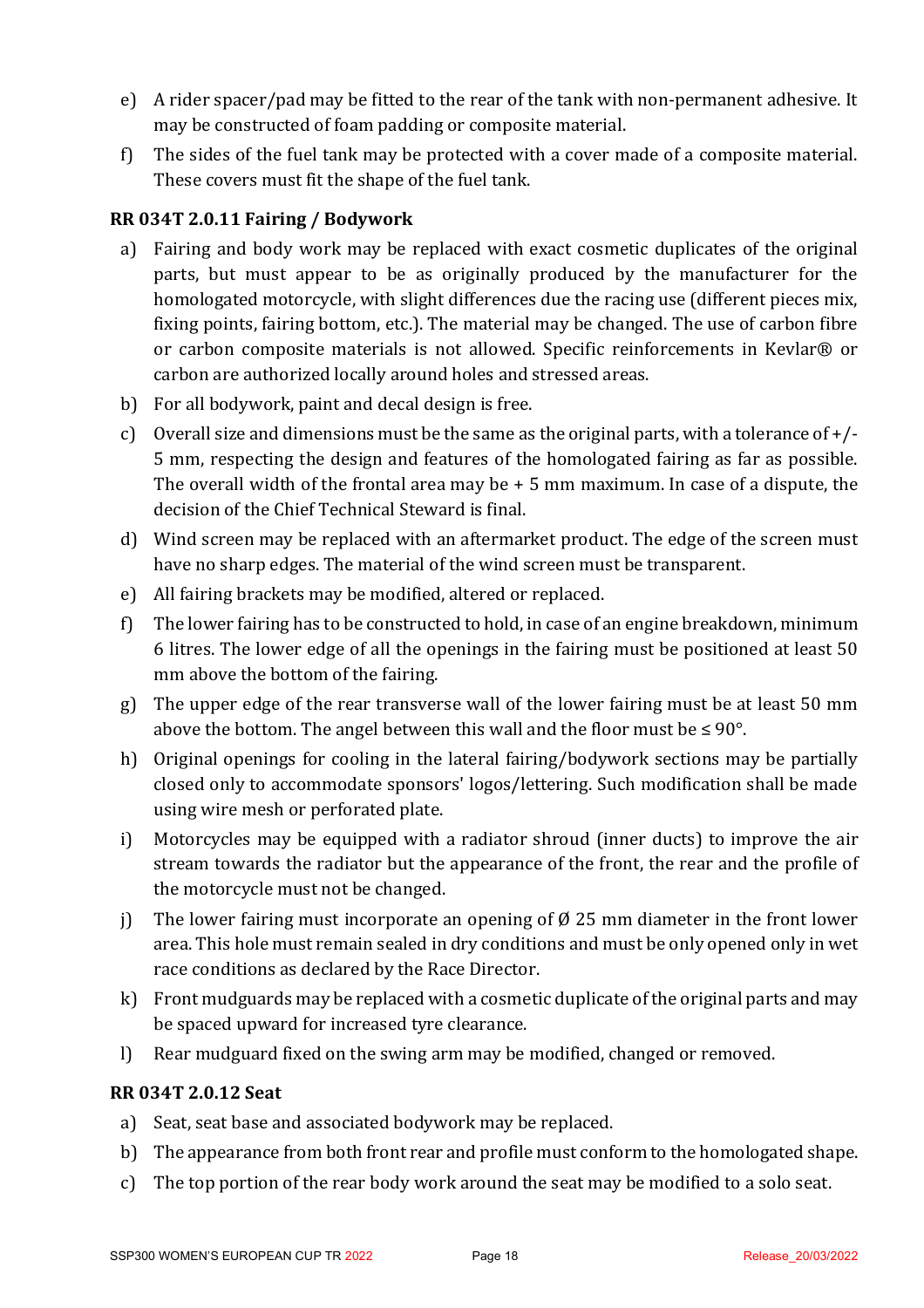- e) A rider spacer/pad may be fitted to the rear of the tank with non-permanent adhesive. It may be constructed of foam padding or composite material.
- f) The sides of the fuel tank may be protected with a cover made of a composite material. These covers must fit the shape of the fuel tank.

#### **RR 034T 2.0.11 Fairing / Bodywork**

- a) Fairing and body work may be replaced with exact cosmetic duplicates of the original parts, but must appear to be as originally produced by the manufacturer for the homologated motorcycle, with slight differences due the racing use (different pieces mix, fixing points, fairing bottom, etc.). The material may be changed. The use of carbon fibre or carbon composite materials is not allowed. Specific reinforcements in Kevlar® or carbon are authorized locally around holes and stressed areas.
- b) For all bodywork, paint and decal design is free.
- c) Overall size and dimensions must be the same as the original parts, with a tolerance of  $+/-$ 5 mm, respecting the design and features of the homologated fairing as far as possible. The overall width of the frontal area may be  $+5$  mm maximum. In case of a dispute, the decision of the Chief Technical Steward is final.
- d) Wind screen may be replaced with an aftermarket product. The edge of the screen must have no sharp edges. The material of the wind screen must be transparent.
- e) All fairing brackets may be modified, altered or replaced.
- f) The lower fairing has to be constructed to hold, in case of an engine breakdown, minimum 6 litres. The lower edge of all the openings in the fairing must be positioned at least 50 mm above the bottom of the fairing.
- g) The upper edge of the rear transverse wall of the lower fairing must be at least 50 mm above the bottom. The angel between this wall and the floor must be  $\leq 90^{\circ}$ .
- h) Original openings for cooling in the lateral fairing/bodywork sections may be partially closed only to accommodate sponsors' logos/lettering. Such modification shall be made using wire mesh or perforated plate.
- i) Motorcycles may be equipped with a radiator shroud (inner ducts) to improve the air stream towards the radiator but the appearance of the front, the rear and the profile of the motorcycle must not be changed.
- i) The lower fairing must incorporate an opening of  $\varnothing$  25 mm diameter in the front lower area. This hole must remain sealed in dry conditions and must be only opened only in wet race conditions as declared by the Race Director.
- $k$ ) Front mudguards may be replaced with a cosmetic duplicate of the original parts and may be spaced upward for increased tyre clearance.
- l) Rear mudguard fixed on the swing arm may be modified, changed or removed.

#### **RR 034T 2.0.12 Seat**

- a) Seat, seat base and associated bodywork may be replaced.
- b) The appearance from both front rear and profile must conform to the homologated shape.
- c) The top portion of the rear body work around the seat may be modified to a solo seat.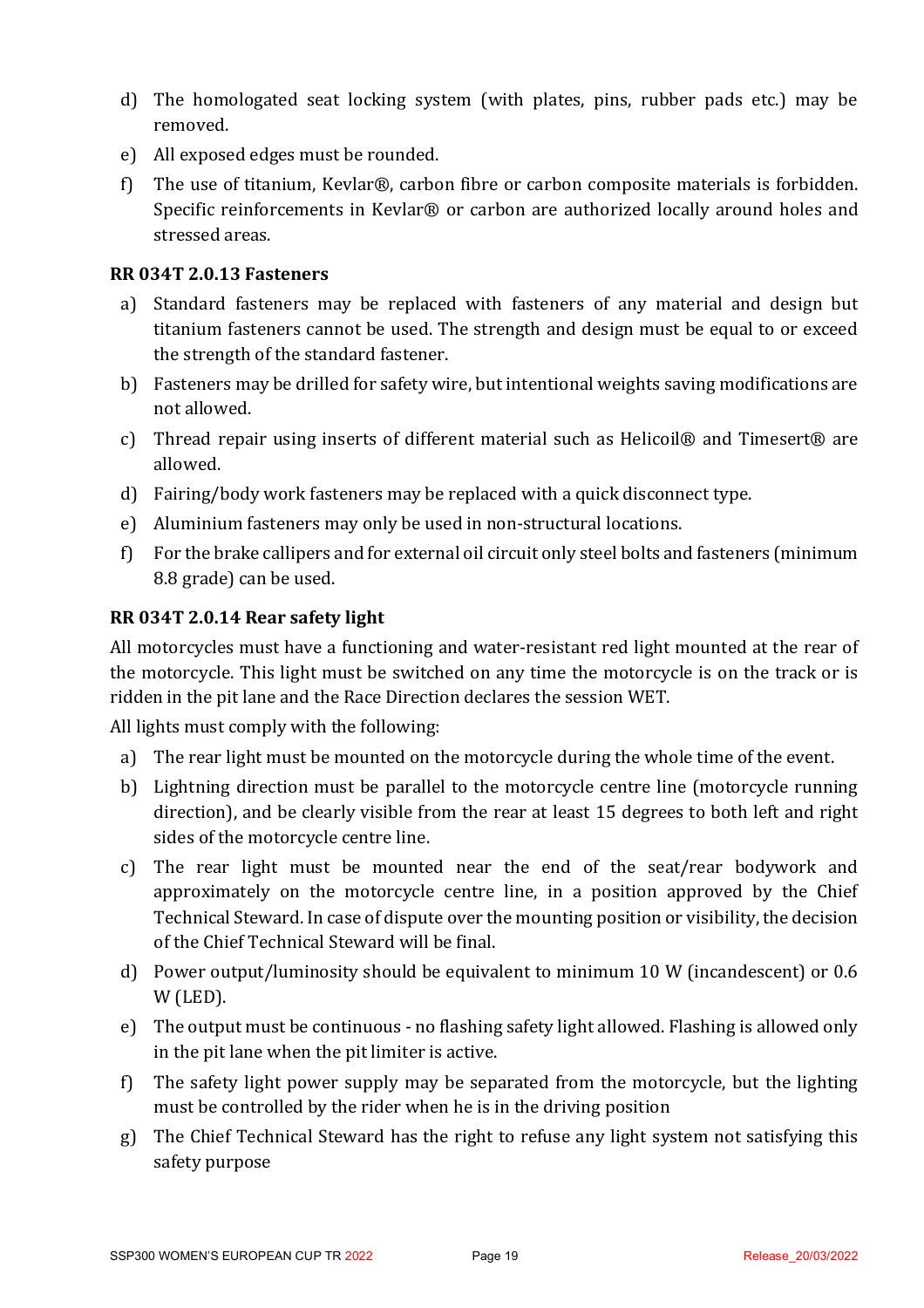- d) The homologated seat locking system (with plates, pins, rubber pads etc.) may be removed.
- e) All exposed edges must be rounded.
- f) The use of titanium, Kevlar®, carbon fibre or carbon composite materials is forbidden. Specific reinforcements in Kevlar® or carbon are authorized locally around holes and stressed areas.

#### **RR 034T 2.0.13 Fasteners**

- a) Standard fasteners may be replaced with fasteners of any material and design but titanium fasteners cannot be used. The strength and design must be equal to or exceed the strength of the standard fastener.
- b) Fasteners may be drilled for safety wire, but intentional weights saving modifications are not allowed.
- c) Thread repair using inserts of different material such as Helicoil® and Timesert® are allowed.
- d) Fairing/body work fasteners may be replaced with a quick disconnect type.
- e) Aluminium fasteners may only be used in non-structural locations.
- f) For the brake callipers and for external oil circuit only steel bolts and fasteners (minimum 8.8 grade) can be used.

#### **RR 034T 2.0.14 Rear safety light**

All motorcycles must have a functioning and water-resistant red light mounted at the rear of the motorcycle. This light must be switched on any time the motorcycle is on the track or is ridden in the pit lane and the Race Direction declares the session WET.

All lights must comply with the following:

- a) The rear light must be mounted on the motorcycle during the whole time of the event.
- b) Lightning direction must be parallel to the motorcycle centre line (motorcycle running direction), and be clearly visible from the rear at least 15 degrees to both left and right sides of the motorcycle centre line.
- c) The rear light must be mounted near the end of the seat/rear bodywork and approximately on the motorcycle centre line, in a position approved by the Chief Technical Steward. In case of dispute over the mounting position or visibility, the decision of the Chief Technical Steward will be final.
- d) Power output/luminosity should be equivalent to minimum 10 W (incandescent) or 0.6 W (LED).
- e) The output must be continuous no flashing safety light allowed. Flashing is allowed only in the pit lane when the pit limiter is active.
- f) The safety light power supply may be separated from the motorcycle, but the lighting must be controlled by the rider when he is in the driving position
- g) The Chief Technical Steward has the right to refuse any light system not satisfying this safety purpose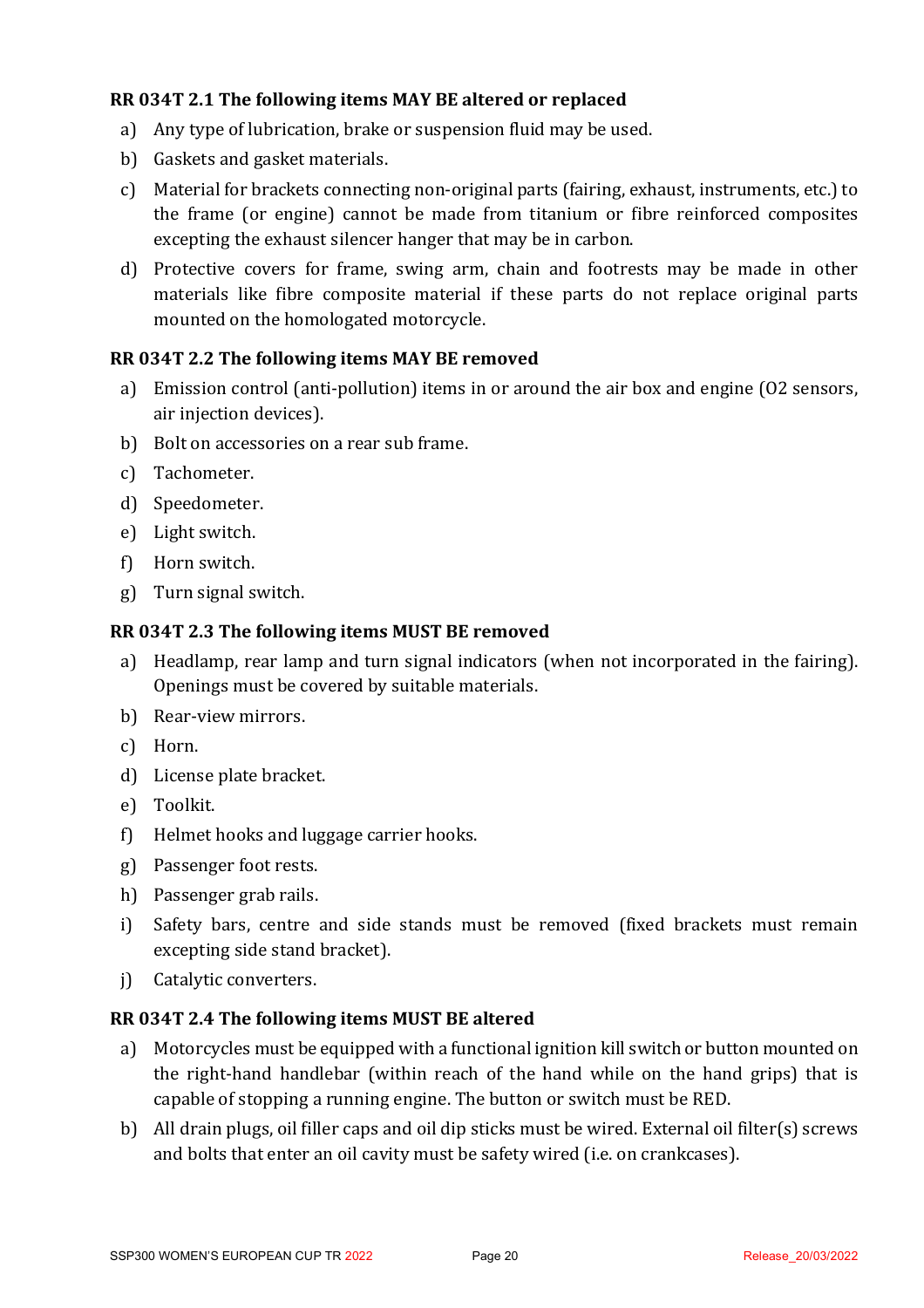#### **RR 034T 2.1 The following items MAY BE altered or replaced**

- a) Any type of lubrication, brake or suspension fluid may be used.
- b) Gaskets and gasket materials.
- c) Material for brackets connecting non-original parts (fairing, exhaust, instruments, etc.) to the frame (or engine) cannot be made from titanium or fibre reinforced composites excepting the exhaust silencer hanger that may be in carbon.
- d) Protective covers for frame, swing arm, chain and footrests may be made in other materials like fibre composite material if these parts do not replace original parts mounted on the homologated motorcycle.

#### **RR 034T 2.2 The following items MAY BE removed**

- a) Emission control (anti-pollution) items in or around the air box and engine (O2 sensors, air injection devices).
- b) Bolt on accessories on a rear sub frame.
- c) Tachometer.
- d) Speedometer.
- e) Light switch.
- f) Horn switch.
- g) Turn signal switch.

#### **RR 034T 2.3 The following items MUST BE removed**

- a) Headlamp, rear lamp and turn signal indicators (when not incorporated in the fairing). Openings must be covered by suitable materials.
- b) Rear-view mirrors.
- c) Horn.
- d) License plate bracket.
- e) Toolkit.
- $f$  Helmet hooks and luggage carrier hooks.
- g) Passenger foot rests.
- h) Passenger grab rails.
- i) Safety bars, centre and side stands must be removed (fixed brackets must remain excepting side stand bracket).
- i) Catalytic converters.

#### **RR 034T 2.4 The following items MUST BE altered**

- a) Motorcycles must be equipped with a functional ignition kill switch or button mounted on the right-hand handlebar (within reach of the hand while on the hand grips) that is capable of stopping a running engine. The button or switch must be RED.
- b) All drain plugs, oil filler caps and oil dip sticks must be wired. External oil filter(s) screws and bolts that enter an oil cavity must be safety wired (i.e. on crankcases).